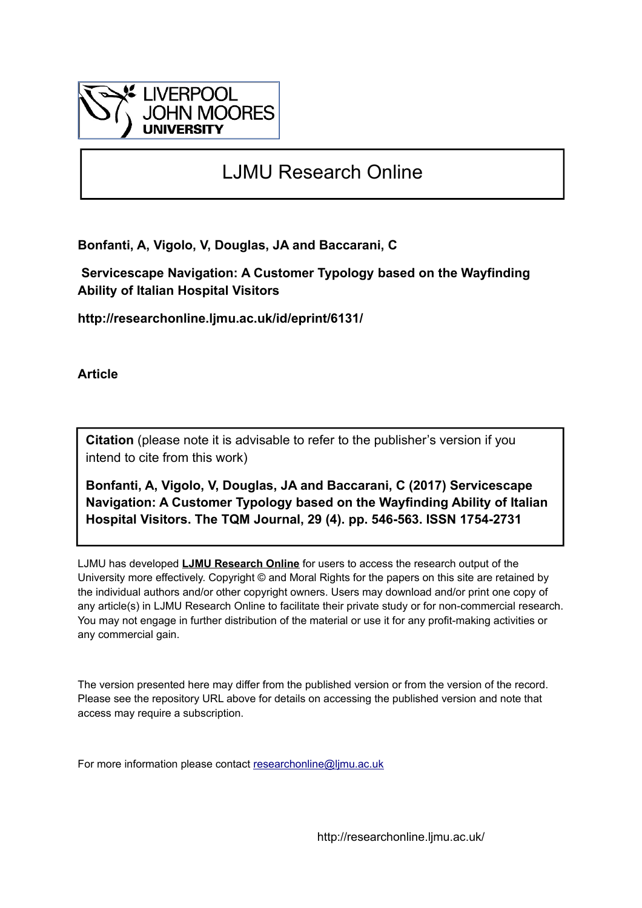

# LJMU Research Online

**Bonfanti, A, Vigolo, V, Douglas, JA and Baccarani, C**

 **Servicescape Navigation: A Customer Typology based on the Wayfinding Ability of Italian Hospital Visitors**

**http://researchonline.ljmu.ac.uk/id/eprint/6131/**

**Article**

**Citation** (please note it is advisable to refer to the publisher's version if you intend to cite from this work)

**Bonfanti, A, Vigolo, V, Douglas, JA and Baccarani, C (2017) Servicescape Navigation: A Customer Typology based on the Wayfinding Ability of Italian Hospital Visitors. The TQM Journal, 29 (4). pp. 546-563. ISSN 1754-2731** 

LJMU has developed **[LJMU Research Online](http://researchonline.ljmu.ac.uk/)** for users to access the research output of the University more effectively. Copyright © and Moral Rights for the papers on this site are retained by the individual authors and/or other copyright owners. Users may download and/or print one copy of any article(s) in LJMU Research Online to facilitate their private study or for non-commercial research. You may not engage in further distribution of the material or use it for any profit-making activities or any commercial gain.

The version presented here may differ from the published version or from the version of the record. Please see the repository URL above for details on accessing the published version and note that access may require a subscription.

For more information please contact [researchonline@ljmu.ac.uk](mailto:researchonline@ljmu.ac.uk)

http://researchonline.ljmu.ac.uk/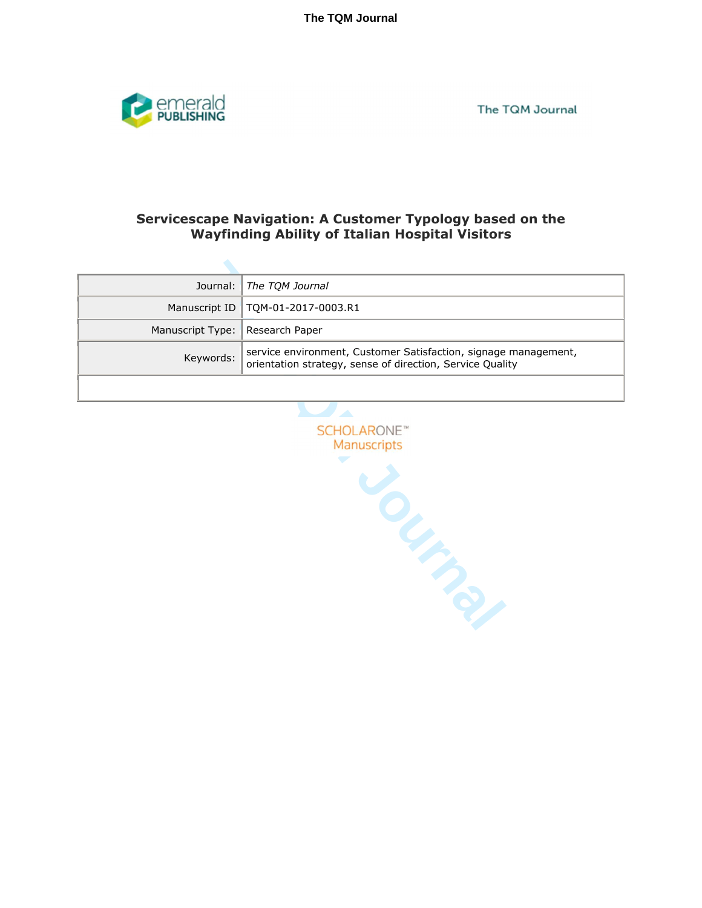

The TQM Journal

## **Servicescape Navigation: A Customer Typology based on the Wayfinding Ability of Italian Hospital Visitors**

|                                   | Journal:   The TOM Journal                                                                                                                    |  |
|-----------------------------------|-----------------------------------------------------------------------------------------------------------------------------------------------|--|
|                                   | Manuscript ID   TQM-01-2017-0003.R1                                                                                                           |  |
| Manuscript Type:   Research Paper |                                                                                                                                               |  |
|                                   | Keywords: service environment, Customer Satisfaction, signage management, Keywords: orientation strategy, sense of direction, Service Quality |  |
|                                   |                                                                                                                                               |  |

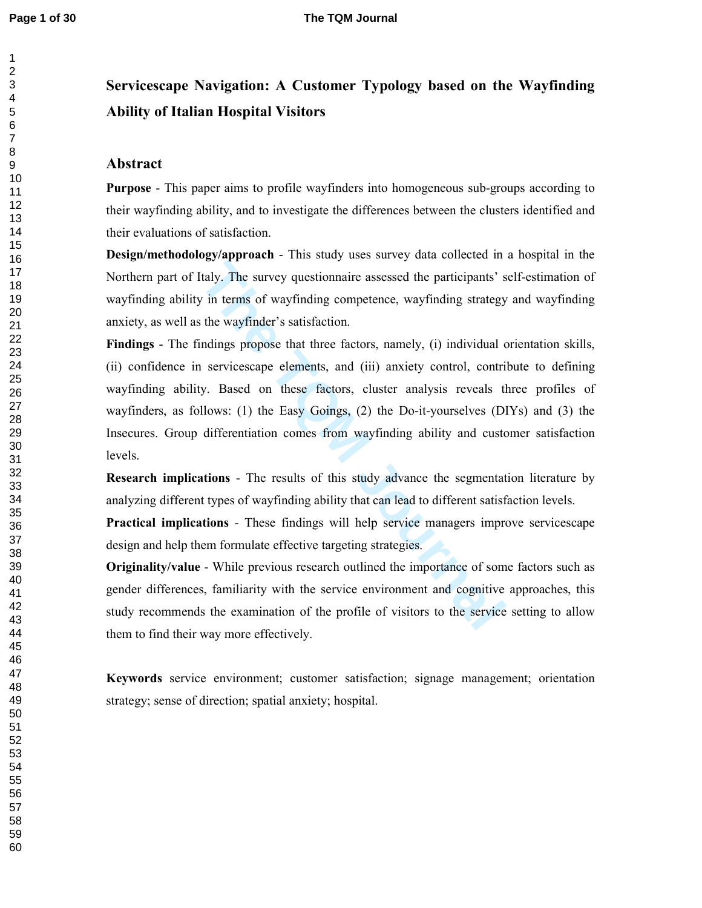## **Servicescape Navigation: A Customer Typology based on the Wayfinding Ability of Italian Hospital Visitors**

## **Abstract**

**Purpose** - This paper aims to profile wayfinders into homogeneous sub-groups according to their wayfinding ability, and to investigate the differences between the clusters identified and their evaluations of satisfaction.

**Design/methodology/approach** - This study uses survey data collected in a hospital in the Northern part of Italy. The survey questionnaire assessed the participants' self-estimation of wayfinding ability in terms of wayfinding competence, wayfinding strategy and wayfinding anxiety, as well as the wayfinder's satisfaction.

**THE SETTAN THE COMPT SOMET AND CONTROLLED AND**<br> **THE SETTAN JOURNAL CONTROLLED AND SETTANT STAND IN A SETTANT STANDULED AND SETTANT STANDURED STANDING STANDS STANDING STANDING STANDARY SHES SALES CONTROLLED STANDING STAND Findings** - The findings propose that three factors, namely, (i) individual orientation skills, (ii) confidence in servicescape elements, and (iii) anxiety control, contribute to defining wayfinding ability. Based on these factors, cluster analysis reveals three profiles of wayfinders, as follows: (1) the Easy Goings, (2) the Do-it-yourselves (DIYs) and (3) the Insecures. Group differentiation comes from wayfinding ability and customer satisfaction levels.

**Research implications** - The results of this study advance the segmentation literature by analyzing different types of wayfinding ability that can lead to different satisfaction levels.

**Practical implications** - These findings will help service managers improve servicescape design and help them formulate effective targeting strategies.

**Originality/value** - While previous research outlined the importance of some factors such as gender differences, familiarity with the service environment and cognitive approaches, this study recommends the examination of the profile of visitors to the service setting to allow them to find their way more effectively.

**Keywords** service environment; customer satisfaction; signage management; orientation strategy; sense of direction; spatial anxiety; hospital.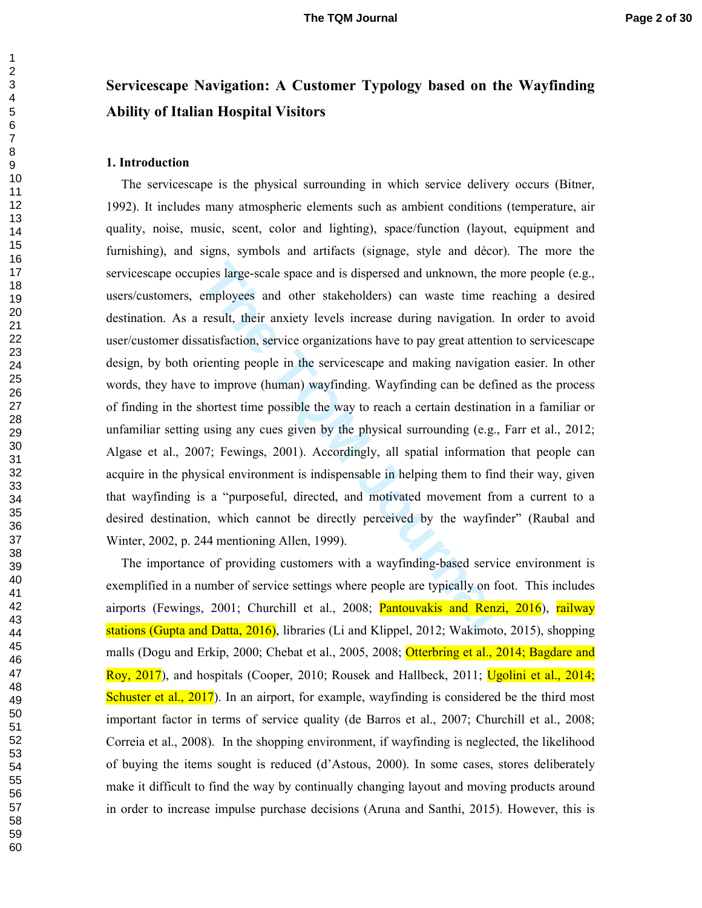## **Servicescape Navigation: A Customer Typology based on the Wayfinding Ability of Italian Hospital Visitors**

#### **1. Introduction**

pies large-scale space and is dispersed and unknown, the n<br>employees and other stakeholders) can waste time rea<br>result, their anxiety levels increase during navigation. It<br>satisfaction, service organizations have to pay gr The servicescape is the physical surrounding in which service delivery occurs (Bitner, 1992). It includes many atmospheric elements such as ambient conditions (temperature, air quality, noise, music, scent, color and lighting), space/function (layout, equipment and furnishing), and signs, symbols and artifacts (signage, style and décor). The more the servicescape occupies large-scale space and is dispersed and unknown, the more people (e.g., users/customers, employees and other stakeholders) can waste time reaching a desired destination. As a result, their anxiety levels increase during navigation. In order to avoid user/customer dissatisfaction, service organizations have to pay great attention to servicescape design, by both orienting people in the servicescape and making navigation easier. In other words, they have to improve (human) wayfinding. Wayfinding can be defined as the process of finding in the shortest time possible the way to reach a certain destination in a familiar or unfamiliar setting using any cues given by the physical surrounding (e.g., Farr et al., 2012; Algase et al., 2007; Fewings, 2001). Accordingly, all spatial information that people can acquire in the physical environment is indispensable in helping them to find their way, given that wayfinding is a "purposeful, directed, and motivated movement from a current to a desired destination, which cannot be directly perceived by the wayfinder" (Raubal and Winter, 2002, p. 244 mentioning Allen, 1999).

The importance of providing customers with a wayfinding-based service environment is exemplified in a number of service settings where people are typically on foot. This includes airports (Fewings, 2001; Churchill et al., 2008; Pantouvakis and Renzi, 2016), railway stations (Gupta and Datta, 2016), libraries (Li and Klippel, 2012; Wakimoto, 2015), shopping malls (Dogu and Erkip, 2000; Chebat et al., 2005, 2008; Otterbring et al., 2014; Bagdare and Roy, 2017), and hospitals (Cooper, 2010; Rousek and Hallbeck, 2011; Ugolini et al., 2014; Schuster et al., 2017). In an airport, for example, wayfinding is considered be the third most important factor in terms of service quality (de Barros et al., 2007; Churchill et al., 2008; Correia et al., 2008). In the shopping environment, if wayfinding is neglected, the likelihood of buying the items sought is reduced (d'Astous, 2000). In some cases, stores deliberately make it difficult to find the way by continually changing layout and moving products around in order to increase impulse purchase decisions (Aruna and Santhi, 2015). However, this is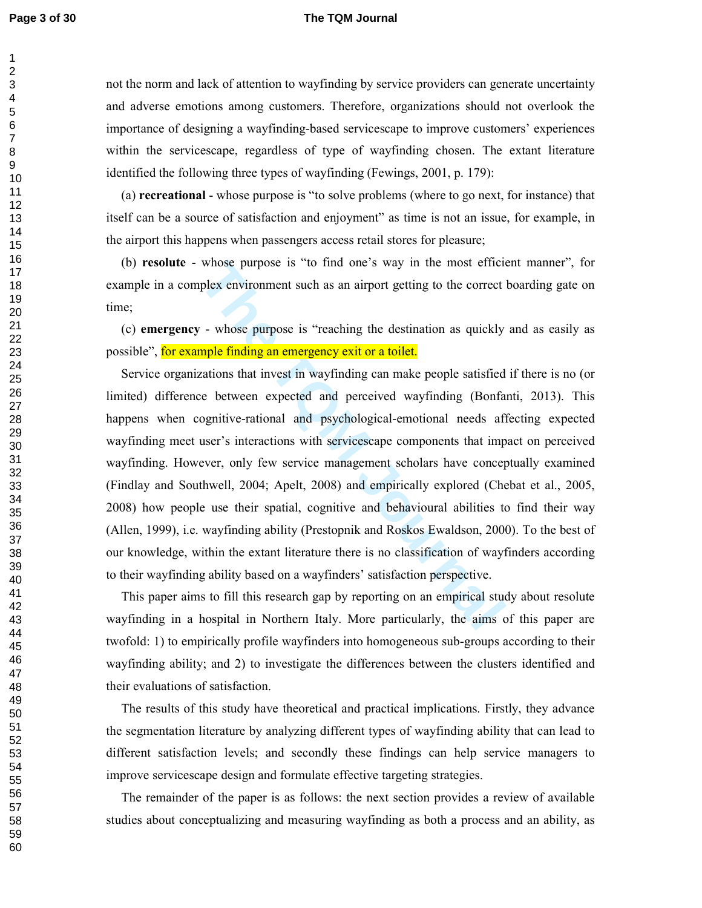#### **Page 3 of 30 The TQM Journal**

 $\mathbf{1}$ 

not the norm and lack of attention to wayfinding by service providers can generate uncertainty and adverse emotions among customers. Therefore, organizations should not overlook the importance of designing a wayfinding-based servicescape to improve customers' experiences within the servicescape, regardless of type of wayfinding chosen. The extant literature identified the following three types of wayfinding (Fewings, 2001, p. 179):

(a) **recreational** - whose purpose is "to solve problems (where to go next, for instance) that itself can be a source of satisfaction and enjoyment" as time is not an issue, for example, in the airport this happens when passengers access retail stores for pleasure;

(b) **resolute** - whose purpose is "to find one's way in the most efficient manner", for example in a complex environment such as an airport getting to the correct boarding gate on time;

(c) **emergency** - whose purpose is "reaching the destination as quickly and as easily as possible", for example finding an emergency exit or a toilet.

whose purpose is "to find one's way in the most efficial<br>plex environment such as an airport getting to the correct<br>plex environment such as an airport getting to the correct<br>v - whose purpose is "reaching the destination Service organizations that invest in wayfinding can make people satisfied if there is no (or limited) difference between expected and perceived wayfinding (Bonfanti, 2013). This happens when cognitive-rational and psychological-emotional needs affecting expected wayfinding meet user's interactions with servicescape components that impact on perceived wayfinding. However, only few service management scholars have conceptually examined (Findlay and Southwell, 2004; Apelt, 2008) and empirically explored (Chebat et al., 2005, 2008) how people use their spatial, cognitive and behavioural abilities to find their way (Allen, 1999), i.e. wayfinding ability (Prestopnik and Roskos Ewaldson, 2000). To the best of our knowledge, within the extant literature there is no classification of wayfinders according to their wayfinding ability based on a wayfinders' satisfaction perspective.

This paper aims to fill this research gap by reporting on an empirical study about resolute wayfinding in a hospital in Northern Italy. More particularly, the aims of this paper are twofold: 1) to empirically profile wayfinders into homogeneous sub-groups according to their wayfinding ability; and 2) to investigate the differences between the clusters identified and their evaluations of satisfaction.

The results of this study have theoretical and practical implications. Firstly, they advance the segmentation literature by analyzing different types of wayfinding ability that can lead to different satisfaction levels; and secondly these findings can help service managers to improve servicescape design and formulate effective targeting strategies.

The remainder of the paper is as follows: the next section provides a review of available studies about conceptualizing and measuring wayfinding as both a process and an ability, as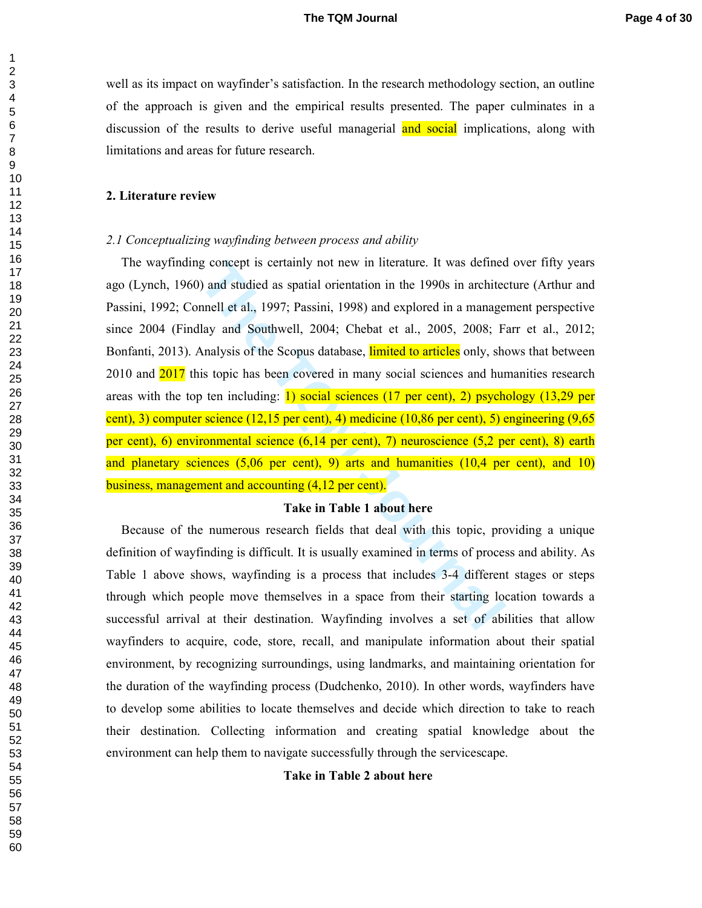well as its impact on wayfinder's satisfaction. In the research methodology section, an outline of the approach is given and the empirical results presented. The paper culminates in a discussion of the results to derive useful managerial and social implications, along with limitations and areas for future research.

#### **2. Literature review**

#### *2.1 Conceptualizing wayfinding between process and ability*

g concept is certainly not new in literature. It was defined<br>(a) and studied as spatial orientation in the 1990s in archited<br>nnell et al., 1997; Passini, 1998) and explored in a manage<br>llay and Southwell, 2004; Chebat et a The wayfinding concept is certainly not new in literature. It was defined over fifty years ago (Lynch, 1960) and studied as spatial orientation in the 1990s in architecture (Arthur and Passini, 1992; Connell et al., 1997; Passini, 1998) and explored in a management perspective since 2004 (Findlay and Southwell, 2004; Chebat et al., 2005, 2008; Farr et al., 2012; Bonfanti, 2013). Analysis of the Scopus database, limited to articles only, shows that between 2010 and 2017 this topic has been covered in many social sciences and humanities research areas with the top ten including: 1) social sciences (17 per cent), 2) psychology (13,29 per cent), 3) computer science (12,15 per cent), 4) medicine (10,86 per cent), 5) engineering (9,65 per cent), 6) environmental science (6,14 per cent), 7) neuroscience (5,2 per cent), 8) earth and planetary sciences  $(5,06$  per cent), 9) arts and humanities  $(10,4$  per cent), and 10) business, management and accounting (4,12 per cent).

#### **Take in Table 1 about here**

Because of the numerous research fields that deal with this topic, providing a unique definition of wayfinding is difficult. It is usually examined in terms of process and ability. As Table 1 above shows, wayfinding is a process that includes 3-4 different stages or steps through which people move themselves in a space from their starting location towards a successful arrival at their destination. Wayfinding involves a set of abilities that allow wayfinders to acquire, code, store, recall, and manipulate information about their spatial environment, by recognizing surroundings, using landmarks, and maintaining orientation for the duration of the wayfinding process (Dudchenko, 2010). In other words, wayfinders have to develop some abilities to locate themselves and decide which direction to take to reach their destination. Collecting information and creating spatial knowledge about the environment can help them to navigate successfully through the servicescape.

**Take in Table 2 about here**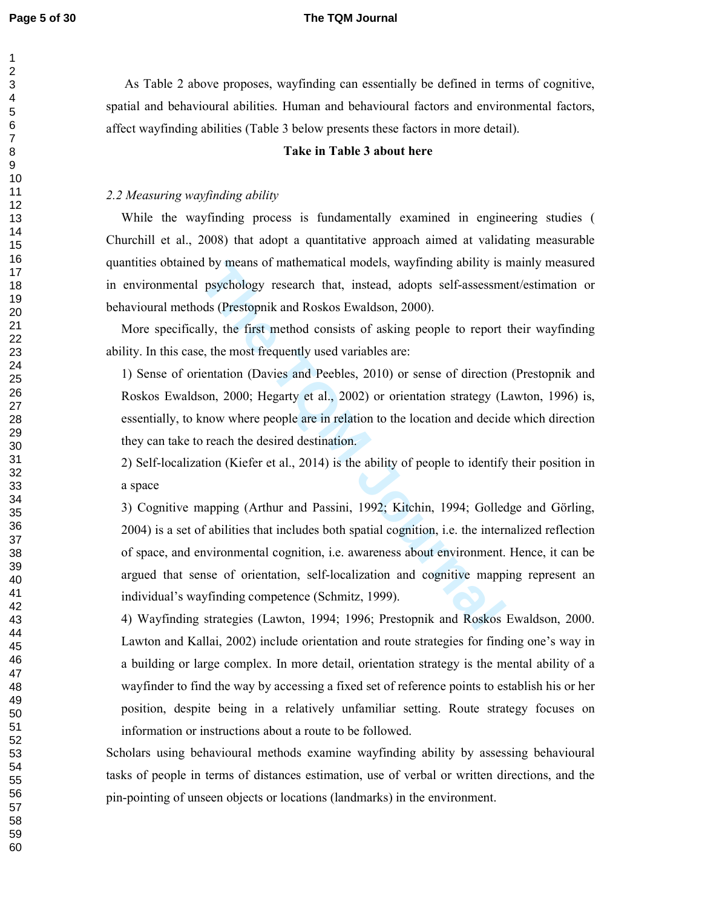$\mathbf{1}$ 

#### **Page 5 of 30 The TQM Journal**

 As Table 2 above proposes, wayfinding can essentially be defined in terms of cognitive, spatial and behavioural abilities. Human and behavioural factors and environmental factors, affect wayfinding abilities (Table 3 below presents these factors in more detail).

## **Take in Table 3 about here**

## *2.2 Measuring wayfinding ability*

While the wayfinding process is fundamentally examined in engineering studies ( Churchill et al., 2008) that adopt a quantitative approach aimed at validating measurable quantities obtained by means of mathematical models, wayfinding ability is mainly measured in environmental psychology research that, instead, adopts self-assessment/estimation or behavioural methods (Prestopnik and Roskos Ewaldson, 2000).

More specifically, the first method consists of asking people to report their wayfinding ability. In this case, the most frequently used variables are:

1) Sense of orientation (Davies and Peebles, 2010) or sense of direction (Prestopnik and Roskos Ewaldson, 2000; Hegarty et al., 2002) or orientation strategy (Lawton, 1996) is, essentially, to know where people are in relation to the location and decide which direction they can take to reach the desired destination.

2) Self-localization (Kiefer et al., 2014) is the ability of people to identify their position in a space

d by means of mathematical models, wayfinding ability is<br>psychology research that, instead, adopts self-assessme<br>ods (Prestopnik and Roskos Ewaldson, 2000).<br>Illy, the first method consists of asking people to report<br>e, the 3) Cognitive mapping (Arthur and Passini, 1992; Kitchin, 1994; Golledge and Görling, 2004) is a set of abilities that includes both spatial cognition, i.e. the internalized reflection of space, and environmental cognition, i.e. awareness about environment. Hence, it can be argued that sense of orientation, self-localization and cognitive mapping represent an individual's wayfinding competence (Schmitz, 1999).

4) Wayfinding strategies (Lawton, 1994; 1996; Prestopnik and Roskos Ewaldson, 2000. Lawton and Kallai, 2002) include orientation and route strategies for finding one's way in a building or large complex. In more detail, orientation strategy is the mental ability of a wayfinder to find the way by accessing a fixed set of reference points to establish his or her position, despite being in a relatively unfamiliar setting. Route strategy focuses on information or instructions about a route to be followed.

Scholars using behavioural methods examine wayfinding ability by assessing behavioural tasks of people in terms of distances estimation, use of verbal or written directions, and the pin-pointing of unseen objects or locations (landmarks) in the environment.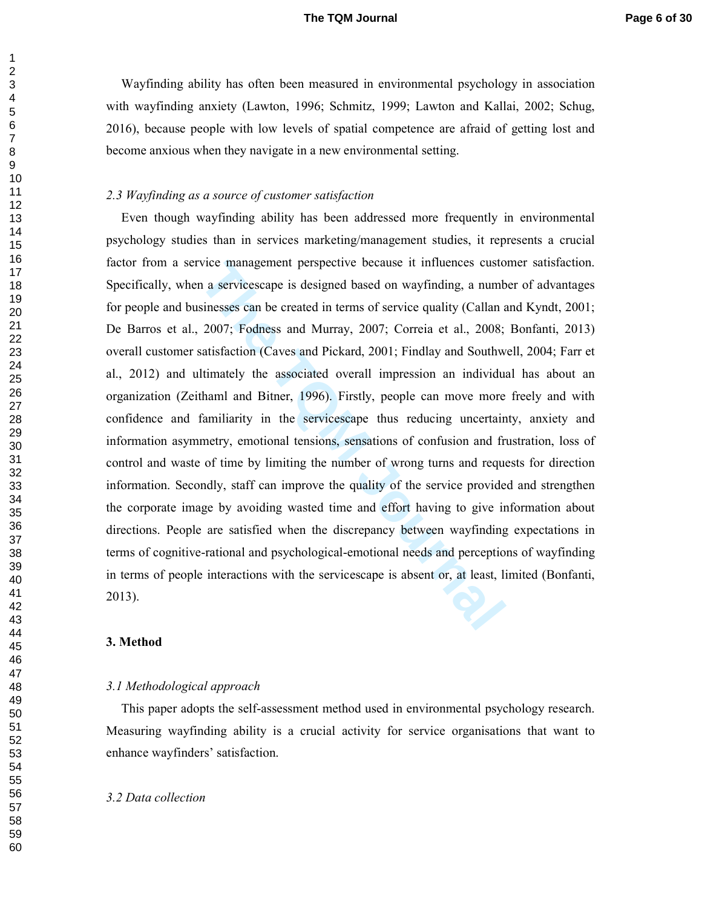#### **The TQM Journal Page 6 of 30**

Wayfinding ability has often been measured in environmental psychology in association with wayfinding anxiety (Lawton, 1996; Schmitz, 1999; Lawton and Kallai, 2002; Schug, 2016), because people with low levels of spatial competence are afraid of getting lost and become anxious when they navigate in a new environmental setting.

#### *2.3 Wayfinding as a source of customer satisfaction*

vice management perspective because it influences custo<br>n a servicescape is designed based on wayfinding, a numb<br>sinesses can be created in terms of service quality (Callan a<br>2007; Fodness and Murray, 2007; Correia et al., Even though wayfinding ability has been addressed more frequently in environmental psychology studies than in services marketing/management studies, it represents a crucial factor from a service management perspective because it influences customer satisfaction. Specifically, when a servicescape is designed based on wayfinding, a number of advantages for people and businesses can be created in terms of service quality (Callan and Kyndt, 2001; De Barros et al., 2007; Fodness and Murray, 2007; Correia et al., 2008; Bonfanti, 2013) overall customer satisfaction (Caves and Pickard, 2001; Findlay and Southwell, 2004; Farr et al., 2012) and ultimately the associated overall impression an individual has about an organization (Zeithaml and Bitner, 1996). Firstly, people can move more freely and with confidence and familiarity in the servicescape thus reducing uncertainty, anxiety and information asymmetry, emotional tensions, sensations of confusion and frustration, loss of control and waste of time by limiting the number of wrong turns and requests for direction information. Secondly, staff can improve the quality of the service provided and strengthen the corporate image by avoiding wasted time and effort having to give information about directions. People are satisfied when the discrepancy between wayfinding expectations in terms of cognitive-rational and psychological-emotional needs and perceptions of wayfinding in terms of people interactions with the servicescape is absent or, at least, limited (Bonfanti, 2013).

#### **3. Method**

#### *3.1 Methodological approach*

This paper adopts the self-assessment method used in environmental psychology research. Measuring wayfinding ability is a crucial activity for service organisations that want to enhance wayfinders' satisfaction.

#### *3.2 Data collection*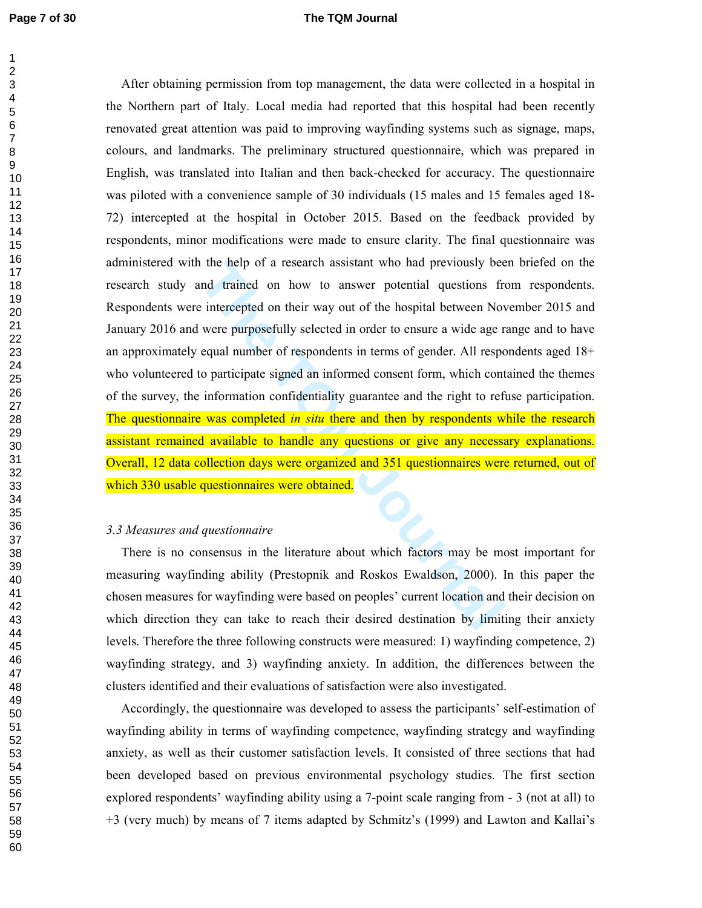#### **Page 7 of 30 The TQM Journal**

The help of a research assistant who had previously beend trained on how to answer potential questions frequenties intercepted on their way out of the hospital between Now were purposefully selected in order to ensure a wi After obtaining permission from top management, the data were collected in a hospital in the Northern part of Italy. Local media had reported that this hospital had been recently renovated great attention was paid to improving wayfinding systems such as signage, maps, colours, and landmarks. The preliminary structured questionnaire, which was prepared in English, was translated into Italian and then back-checked for accuracy. The questionnaire was piloted with a convenience sample of 30 individuals (15 males and 15 females aged 18- 72) intercepted at the hospital in October 2015. Based on the feedback provided by respondents, minor modifications were made to ensure clarity. The final questionnaire was administered with the help of a research assistant who had previously been briefed on the research study and trained on how to answer potential questions from respondents. Respondents were intercepted on their way out of the hospital between November 2015 and January 2016 and were purposefully selected in order to ensure a wide age range and to have an approximately equal number of respondents in terms of gender. All respondents aged 18+ who volunteered to participate signed an informed consent form, which contained the themes of the survey, the information confidentiality guarantee and the right to refuse participation. The questionnaire was completed *in situ* there and then by respondents while the research assistant remained available to handle any questions or give any necessary explanations. Overall, 12 data collection days were organized and 351 questionnaires were returned, out of which 330 usable questionnaires were obtained.

## *3.3 Measures and questionnaire*

There is no consensus in the literature about which factors may be most important for measuring wayfinding ability (Prestopnik and Roskos Ewaldson, 2000). In this paper the chosen measures for wayfinding were based on peoples' current location and their decision on which direction they can take to reach their desired destination by limiting their anxiety levels. Therefore the three following constructs were measured: 1) wayfinding competence, 2) wayfinding strategy, and 3) wayfinding anxiety. In addition, the differences between the clusters identified and their evaluations of satisfaction were also investigated.

Accordingly, the questionnaire was developed to assess the participants' self-estimation of wayfinding ability in terms of wayfinding competence, wayfinding strategy and wayfinding anxiety, as well as their customer satisfaction levels. It consisted of three sections that had been developed based on previous environmental psychology studies. The first section explored respondents' wayfinding ability using a 7-point scale ranging from - 3 (not at all) to +3 (very much) by means of 7 items adapted by Schmitz's (1999) and Lawton and Kallai's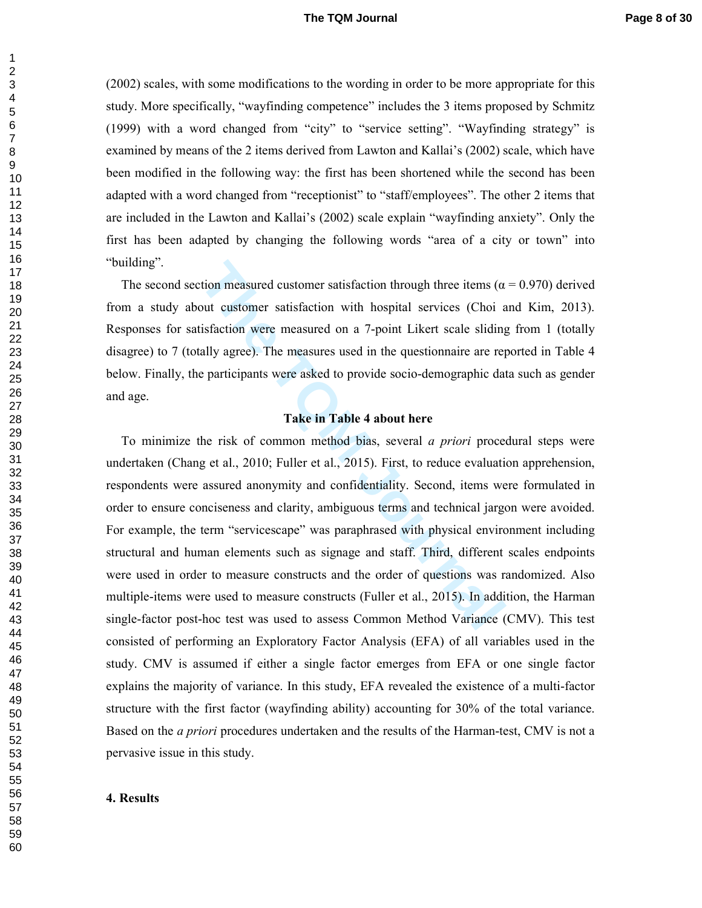#### **The TQM Journal Page 8 of 30**

(2002) scales, with some modifications to the wording in order to be more appropriate for this study. More specifically, "wayfinding competence" includes the 3 items proposed by Schmitz (1999) with a word changed from "city" to "service setting". "Wayfinding strategy" is examined by means of the 2 items derived from Lawton and Kallai's (2002) scale, which have been modified in the following way: the first has been shortened while the second has been adapted with a word changed from "receptionist" to "staff/employees". The other 2 items that are included in the Lawton and Kallai's (2002) scale explain "wayfinding anxiety". Only the first has been adapted by changing the following words "area of a city or town" into "building".

The second section measured customer satisfaction through three items ( $\alpha$  = 0.970) derived from a study about customer satisfaction with hospital services (Choi and Kim, 2013). Responses for satisfaction were measured on a 7-point Likert scale sliding from 1 (totally disagree) to 7 (totally agree). The measures used in the questionnaire are reported in Table 4 below. Finally, the participants were asked to provide socio-demographic data such as gender and age.

#### **Take in Table 4 about here**

ition measured customer satisfaction through three items ( $\alpha$  out customer satisfaction with hospital services (Choi *i* tisfaction were measured on a 7-point Likert scale sliding ally agree). The measures used in the que To minimize the risk of common method bias, several *a priori* procedural steps were undertaken (Chang et al., 2010; Fuller et al., 2015). First, to reduce evaluation apprehension, respondents were assured anonymity and confidentiality. Second, items were formulated in order to ensure conciseness and clarity, ambiguous terms and technical jargon were avoided. For example, the term "servicescape" was paraphrased with physical environment including structural and human elements such as signage and staff. Third, different scales endpoints were used in order to measure constructs and the order of questions was randomized. Also multiple-items were used to measure constructs (Fuller et al., 2015). In addition, the Harman single-factor post-hoc test was used to assess Common Method Variance (CMV). This test consisted of performing an Exploratory Factor Analysis (EFA) of all variables used in the study. CMV is assumed if either a single factor emerges from EFA or one single factor explains the majority of variance. In this study, EFA revealed the existence of a multi-factor structure with the first factor (wayfinding ability) accounting for 30% of the total variance. Based on the *a priori* procedures undertaken and the results of the Harman-test, CMV is not a pervasive issue in this study.

#### **4. Results**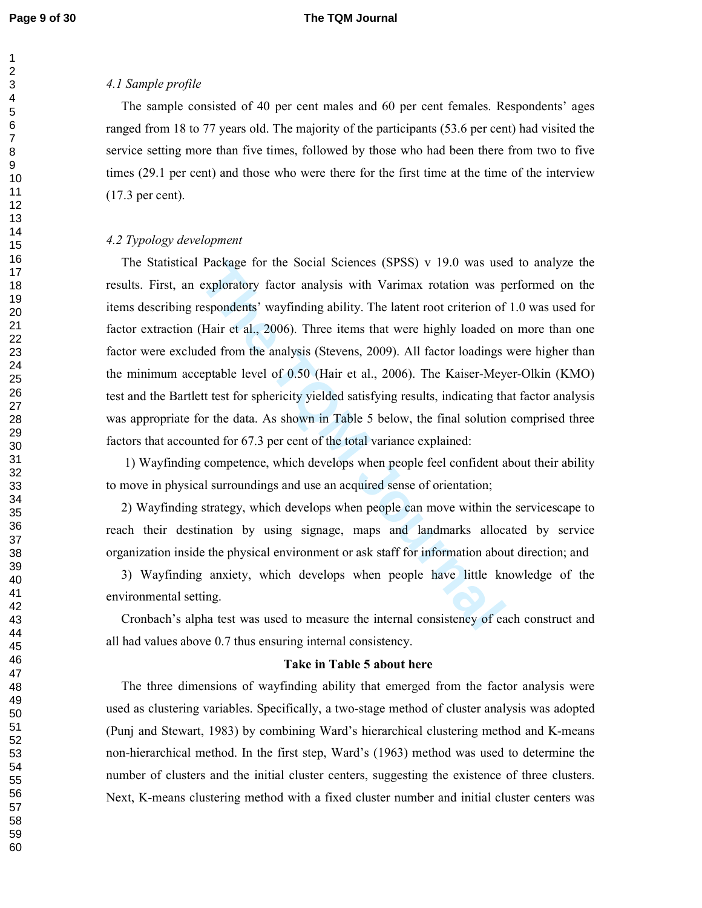$\mathbf{1}$ 

#### **Page 9 of 30 The TQM Journal**

#### *4.1 Sample profile*

The sample consisted of 40 per cent males and 60 per cent females. Respondents' ages ranged from 18 to 77 years old. The majority of the participants (53.6 per cent) had visited the service setting more than five times, followed by those who had been there from two to five times (29.1 per cent) and those who were there for the first time at the time of the interview (17.3 per cent).

## *4.2 Typology development*

Package for the Social Sciences (SPSS) v 19.0 was use exploratory factor analysis with Varimax rotation was pespondents' wayfinding ability. The latent root criterion of (Hair et al., 2006). Three items that were highly lo The Statistical Package for the Social Sciences (SPSS) v 19.0 was used to analyze the results. First, an exploratory factor analysis with Varimax rotation was performed on the items describing respondents' wayfinding ability. The latent root criterion of 1.0 was used for factor extraction (Hair et al., 2006). Three items that were highly loaded on more than one factor were excluded from the analysis (Stevens, 2009). All factor loadings were higher than the minimum acceptable level of 0.50 (Hair et al., 2006). The Kaiser-Meyer-Olkin (KMO) test and the Bartlett test for sphericity yielded satisfying results, indicating that factor analysis was appropriate for the data. As shown in Table 5 below, the final solution comprised three factors that accounted for 67.3 per cent of the total variance explained:

 1) Wayfinding competence, which develops when people feel confident about their ability to move in physical surroundings and use an acquired sense of orientation;

2) Wayfinding strategy, which develops when people can move within the servicescape to reach their destination by using signage, maps and landmarks allocated by service organization inside the physical environment or ask staff for information about direction; and

3) Wayfinding anxiety, which develops when people have little knowledge of the environmental setting.

Cronbach's alpha test was used to measure the internal consistency of each construct and all had values above 0.7 thus ensuring internal consistency.

## **Take in Table 5 about here**

The three dimensions of wayfinding ability that emerged from the factor analysis were used as clustering variables. Specifically, a two-stage method of cluster analysis was adopted (Punj and Stewart, 1983) by combining Ward's hierarchical clustering method and K-means non-hierarchical method. In the first step, Ward's (1963) method was used to determine the number of clusters and the initial cluster centers, suggesting the existence of three clusters. Next, K-means clustering method with a fixed cluster number and initial cluster centers was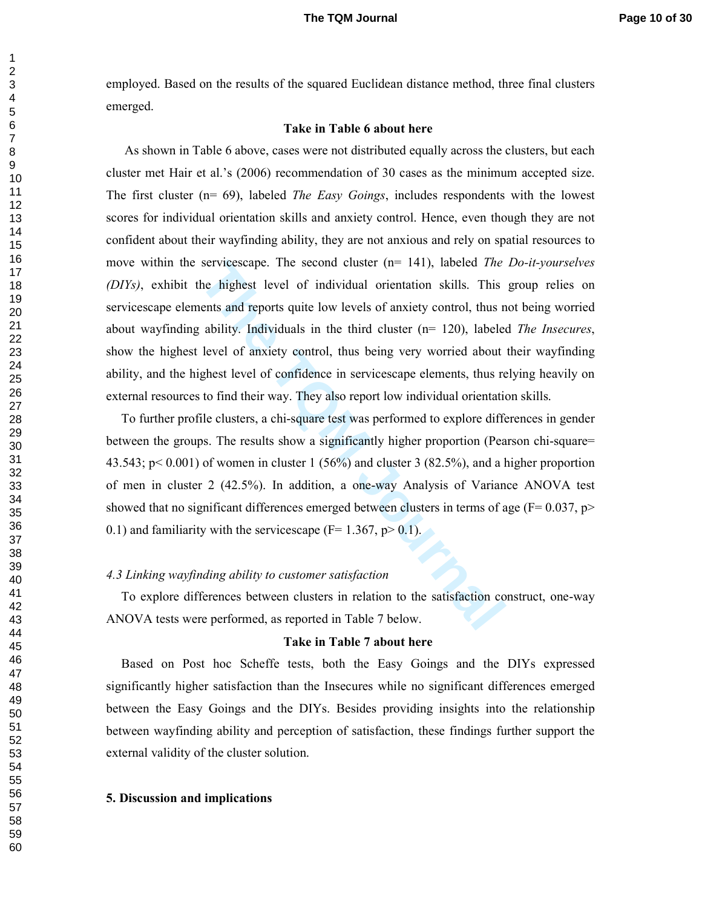employed. Based on the results of the squared Euclidean distance method, three final clusters emerged.

#### **Take in Table 6 about here**

servicescape. The second cluster (n= 141), labeled *The*<br>he highest level of individual orientation skills. This<br>nents and reports quite low levels of anxiety control, thus n<br>ability. Individuals in the third cluster (n= As shown in Table 6 above, cases were not distributed equally across the clusters, but each cluster met Hair et al.'s (2006) recommendation of 30 cases as the minimum accepted size. The first cluster (n= 69), labeled *The Easy Goings*, includes respondents with the lowest scores for individual orientation skills and anxiety control. Hence, even though they are not confident about their wayfinding ability, they are not anxious and rely on spatial resources to move within the servicescape. The second cluster (n= 141), labeled *The Do-it-yourselves (DIYs)*, exhibit the highest level of individual orientation skills. This group relies on servicescape elements and reports quite low levels of anxiety control, thus not being worried about wayfinding ability. Individuals in the third cluster (n= 120), labeled *The Insecures*, show the highest level of anxiety control, thus being very worried about their wayfinding ability, and the highest level of confidence in servicescape elements, thus relying heavily on external resources to find their way. They also report low individual orientation skills.

To further profile clusters, a chi-square test was performed to explore differences in gender between the groups. The results show a significantly higher proportion (Pearson chi-square= 43.543; p< 0.001) of women in cluster 1 (56%) and cluster 3 (82.5%), and a higher proportion of men in cluster 2 (42.5%). In addition, a one-way Analysis of Variance ANOVA test showed that no significant differences emerged between clusters in terms of age ( $F= 0.037$ ,  $p>$ 0.1) and familiarity with the servicescape ( $F= 1.367$ ,  $p > 0.1$ ).

#### *4.3 Linking wayfinding ability to customer satisfaction*

To explore differences between clusters in relation to the satisfaction construct, one-way ANOVA tests were performed, as reported in Table 7 below.

#### **Take in Table 7 about here**

Based on Post hoc Scheffe tests, both the Easy Goings and the DIYs expressed significantly higher satisfaction than the Insecures while no significant differences emerged between the Easy Goings and the DIYs. Besides providing insights into the relationship between wayfinding ability and perception of satisfaction, these findings further support the external validity of the cluster solution.

#### **5. Discussion and implications**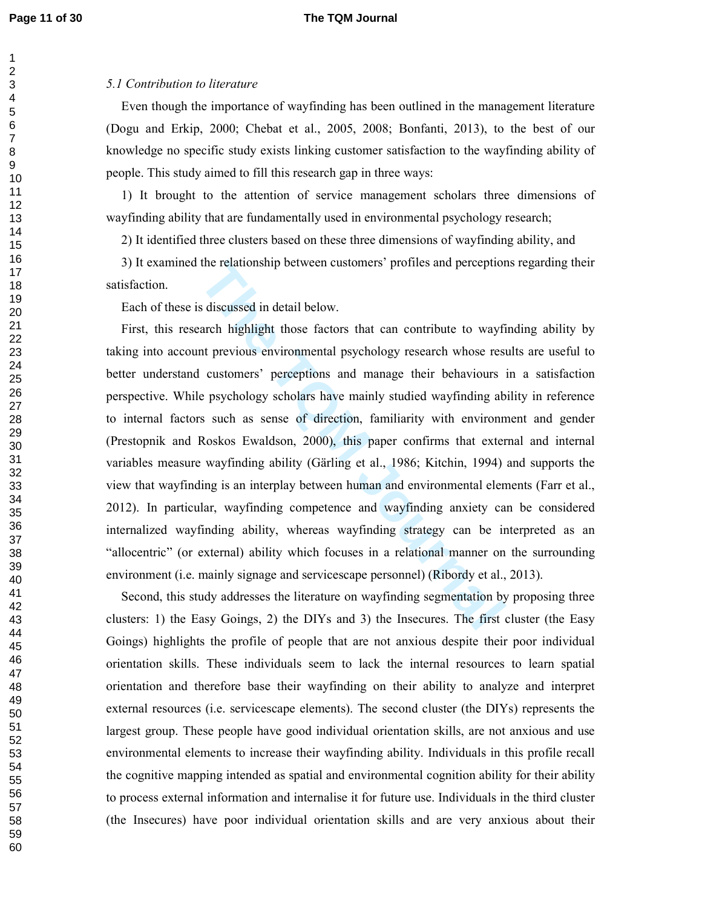#### **Page 11 of 30 The TQM Journal**

## *5.1 Contribution to literature*

Even though the importance of wayfinding has been outlined in the management literature (Dogu and Erkip, 2000; Chebat et al., 2005, 2008; Bonfanti, 2013), to the best of our knowledge no specific study exists linking customer satisfaction to the wayfinding ability of people. This study aimed to fill this research gap in three ways:

1) It brought to the attention of service management scholars three dimensions of wayfinding ability that are fundamentally used in environmental psychology research;

2) It identified three clusters based on these three dimensions of wayfinding ability, and

3) It examined the relationship between customers' profiles and perceptions regarding their satisfaction.

Each of these is discussed in detail below.

the relationship between customers' profiles and perception<br>s discussed in detail below.<br>arch highlight those factors that can contribute to wayfit<br>nt previous environmental psychology research whose rest<br>customers' percep First, this research highlight those factors that can contribute to wayfinding ability by taking into account previous environmental psychology research whose results are useful to better understand customers' perceptions and manage their behaviours in a satisfaction perspective. While psychology scholars have mainly studied wayfinding ability in reference to internal factors such as sense of direction, familiarity with environment and gender (Prestopnik and Roskos Ewaldson, 2000), this paper confirms that external and internal variables measure wayfinding ability (Gärling et al., 1986; Kitchin, 1994) and supports the view that wayfinding is an interplay between human and environmental elements (Farr et al., 2012). In particular, wayfinding competence and wayfinding anxiety can be considered internalized wayfinding ability, whereas wayfinding strategy can be interpreted as an "allocentric" (or external) ability which focuses in a relational manner on the surrounding environment (i.e. mainly signage and servicescape personnel) (Ribordy et al., 2013).

Second, this study addresses the literature on wayfinding segmentation by proposing three clusters: 1) the Easy Goings, 2) the DIYs and 3) the Insecures. The first cluster (the Easy Goings) highlights the profile of people that are not anxious despite their poor individual orientation skills. These individuals seem to lack the internal resources to learn spatial orientation and therefore base their wayfinding on their ability to analyze and interpret external resources (i.e. servicescape elements). The second cluster (the DIYs) represents the largest group. These people have good individual orientation skills, are not anxious and use environmental elements to increase their wayfinding ability. Individuals in this profile recall the cognitive mapping intended as spatial and environmental cognition ability for their ability to process external information and internalise it for future use. Individuals in the third cluster (the Insecures) have poor individual orientation skills and are very anxious about their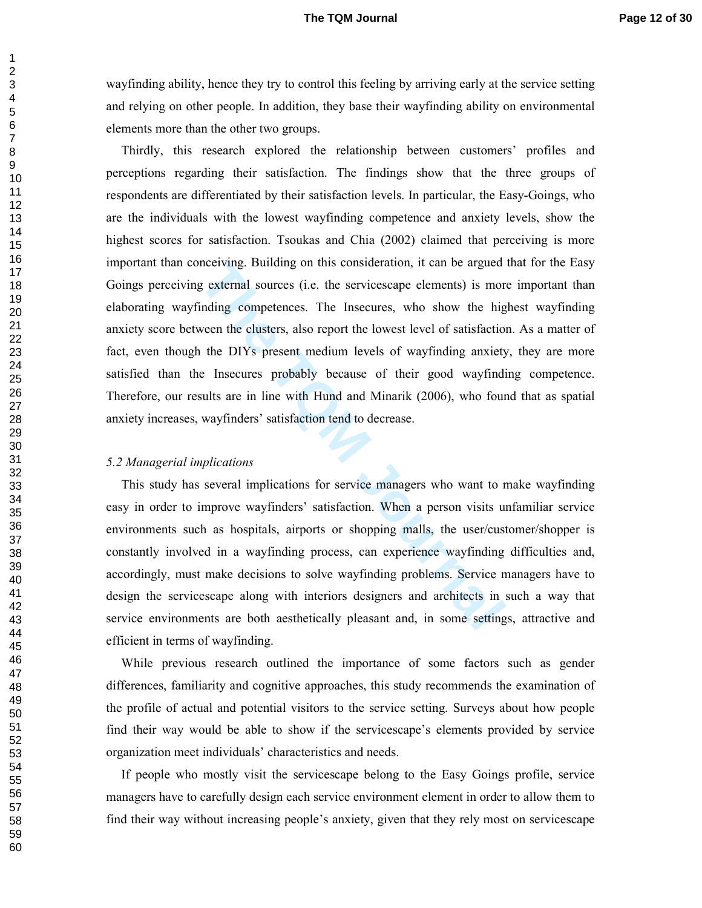#### **The TQM Journal Page 12 of 30**

wayfinding ability, hence they try to control this feeling by arriving early at the service setting and relying on other people. In addition, they base their wayfinding ability on environmental elements more than the other two groups.

meerving. Building on this consideration, it can be argued<br>g external sources (i.e. the servicescape elements) is mor<br>inding competences. The Insecures, who show the hig<br>ween the clusters, also report the lowest level of s Thirdly, this research explored the relationship between customers' profiles and perceptions regarding their satisfaction. The findings show that the three groups of respondents are differentiated by their satisfaction levels. In particular, the Easy-Goings, who are the individuals with the lowest wayfinding competence and anxiety levels, show the highest scores for satisfaction. Tsoukas and Chia (2002) claimed that perceiving is more important than conceiving. Building on this consideration, it can be argued that for the Easy Goings perceiving external sources (i.e. the servicescape elements) is more important than elaborating wayfinding competences. The Insecures, who show the highest wayfinding anxiety score between the clusters, also report the lowest level of satisfaction. As a matter of fact, even though the DIYs present medium levels of wayfinding anxiety, they are more satisfied than the Insecures probably because of their good wayfinding competence. Therefore, our results are in line with Hund and Minarik (2006), who found that as spatial anxiety increases, wayfinders' satisfaction tend to decrease.

#### *5.2 Managerial implications*

This study has several implications for service managers who want to make wayfinding easy in order to improve wayfinders' satisfaction. When a person visits unfamiliar service environments such as hospitals, airports or shopping malls, the user/customer/shopper is constantly involved in a wayfinding process, can experience wayfinding difficulties and, accordingly, must make decisions to solve wayfinding problems. Service managers have to design the servicescape along with interiors designers and architects in such a way that service environments are both aesthetically pleasant and, in some settings, attractive and efficient in terms of wayfinding.

While previous research outlined the importance of some factors such as gender differences, familiarity and cognitive approaches, this study recommends the examination of the profile of actual and potential visitors to the service setting. Surveys about how people find their way would be able to show if the servicescape's elements provided by service organization meet individuals' characteristics and needs.

If people who mostly visit the servicescape belong to the Easy Goings profile, service managers have to carefully design each service environment element in order to allow them to find their way without increasing people's anxiety, given that they rely most on servicescape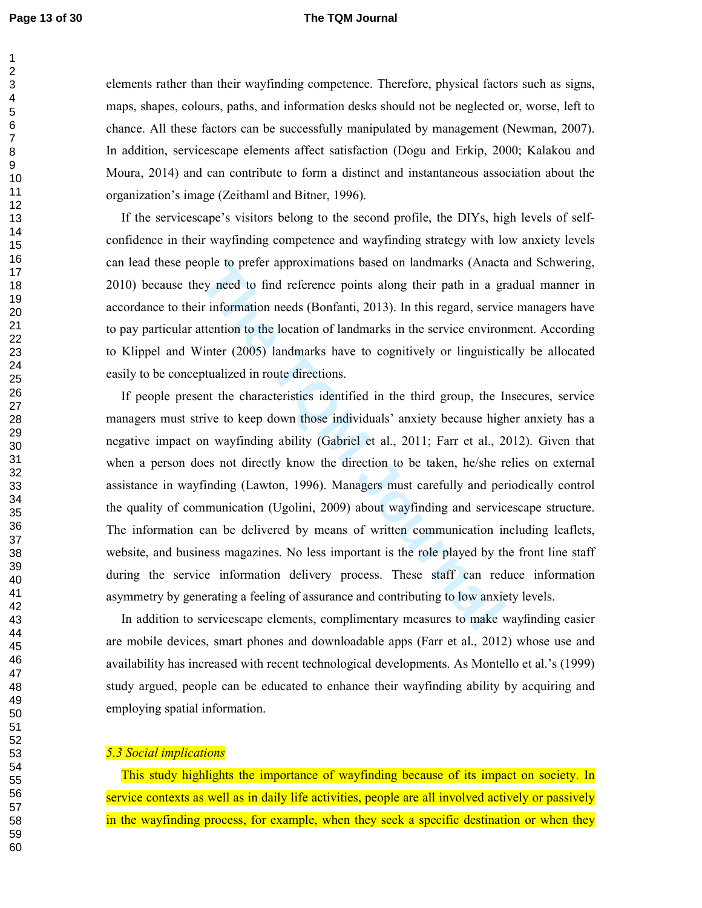$\mathbf{1}$ 

#### **Page 13 of 30 The TQM Journal**

elements rather than their wayfinding competence. Therefore, physical factors such as signs, maps, shapes, colours, paths, and information desks should not be neglected or, worse, left to chance. All these factors can be successfully manipulated by management (Newman, 2007). In addition, servicescape elements affect satisfaction (Dogu and Erkip, 2000; Kalakou and Moura, 2014) and can contribute to form a distinct and instantaneous association about the organization's image (Zeithaml and Bitner, 1996).

If the servicescape's visitors belong to the second profile, the DIYs, high levels of selfconfidence in their wayfinding competence and wayfinding strategy with low anxiety levels can lead these people to prefer approximations based on landmarks (Anacta and Schwering, 2010) because they need to find reference points along their path in a gradual manner in accordance to their information needs (Bonfanti, 2013). In this regard, service managers have to pay particular attention to the location of landmarks in the service environment. According to Klippel and Winter (2005) landmarks have to cognitively or linguistically be allocated easily to be conceptualized in route directions.

ople to prefer approximations based on landmarks (Anactacy need to find reference points along their path in a grir information needs (Bonfanti, 2013). In this regard, servict tention to the location of landmarks in the se If people present the characteristics identified in the third group, the Insecures, service managers must strive to keep down those individuals' anxiety because higher anxiety has a negative impact on wayfinding ability (Gabriel et al., 2011; Farr et al., 2012). Given that when a person does not directly know the direction to be taken, he/she relies on external assistance in wayfinding (Lawton, 1996). Managers must carefully and periodically control the quality of communication (Ugolini, 2009) about wayfinding and servicescape structure. The information can be delivered by means of written communication including leaflets, website, and business magazines. No less important is the role played by the front line staff during the service information delivery process. These staff can reduce information asymmetry by generating a feeling of assurance and contributing to low anxiety levels.

In addition to servicescape elements, complimentary measures to make wayfinding easier are mobile devices, smart phones and downloadable apps (Farr et al., 2012) whose use and availability has increased with recent technological developments. As Montello et al.'s (1999) study argued, people can be educated to enhance their wayfinding ability by acquiring and employing spatial information.

#### *5.3 Social implications*

This study highlights the importance of wayfinding because of its impact on society. In service contexts as well as in daily life activities, people are all involved actively or passively in the wayfinding process, for example, when they seek a specific destination or when they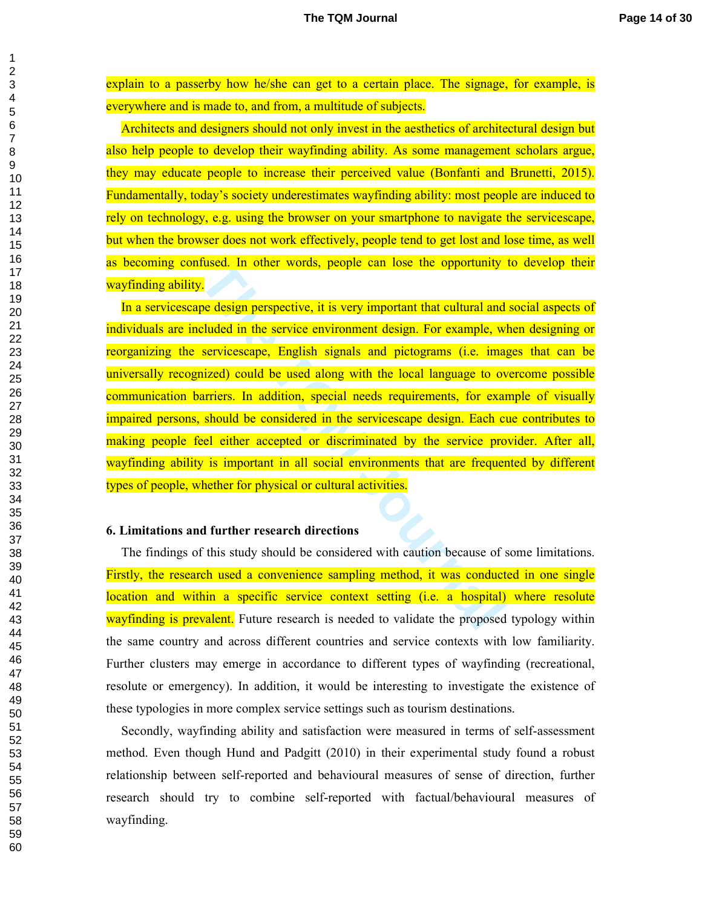explain to a passerby how he/she can get to a certain place. The signage, for example, is everywhere and is made to, and from, a multitude of subjects.

Architects and designers should not only invest in the aesthetics of architectural design but also help people to develop their wayfinding ability. As some management scholars argue, they may educate people to increase their perceived value (Bonfanti and Brunetti, 2015). Fundamentally, today's society underestimates wayfinding ability: most people are induced to rely on technology, e.g. using the browser on your smartphone to navigate the servicescape, but when the browser does not work effectively, people tend to get lost and lose time, as well as becoming confused. In other words, people can lose the opportunity to develop their wayfinding ability.

The distance in other words, people can lose the opportunity<br>
pe design perspective, it is very important that cultural and<br>
cluded in the service environment design. For example, w<br>
servicescape, English signals and picto In a servicescape design perspective, it is very important that cultural and social aspects of individuals are included in the service environment design. For example, when designing or reorganizing the servicescape, English signals and pictograms (i.e. images that can be universally recognized) could be used along with the local language to overcome possible communication barriers. In addition, special needs requirements, for example of visually impaired persons, should be considered in the servicescape design. Each cue contributes to making people feel either accepted or discriminated by the service provider. After all, wayfinding ability is important in all social environments that are frequented by different types of people, whether for physical or cultural activities.

#### **6. Limitations and further research directions**

The findings of this study should be considered with caution because of some limitations. Firstly, the research used a convenience sampling method, it was conducted in one single location and within a specific service context setting (i.e. a hospital) where resolute wayfinding is prevalent. Future research is needed to validate the proposed typology within the same country and across different countries and service contexts with low familiarity. Further clusters may emerge in accordance to different types of wayfinding (recreational, resolute or emergency). In addition, it would be interesting to investigate the existence of these typologies in more complex service settings such as tourism destinations.

Secondly, wayfinding ability and satisfaction were measured in terms of self-assessment method. Even though Hund and Padgitt (2010) in their experimental study found a robust relationship between self-reported and behavioural measures of sense of direction, further research should try to combine self-reported with factual/behavioural measures of wayfinding.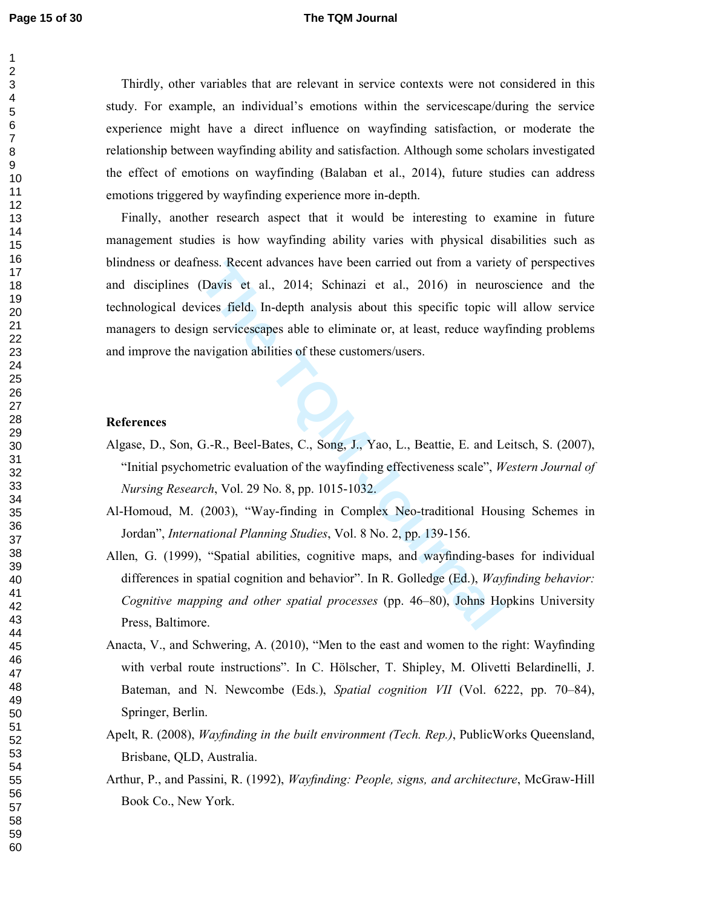$\mathbf{1}$ 

#### **Page 15 of 30 The TQM Journal**

Thirdly, other variables that are relevant in service contexts were not considered in this study. For example, an individual's emotions within the servicescape/during the service experience might have a direct influence on wayfinding satisfaction, or moderate the relationship between wayfinding ability and satisfaction. Although some scholars investigated the effect of emotions on wayfinding (Balaban et al., 2014), future studies can address emotions triggered by wayfinding experience more in-depth.

ness. Recent advances have been carried out from a variet<br>
(Davis et al., 2014; Schinazi et al., 2016) in neuro:<br>
vices field. In-depth analysis about this specific topic w<br>
gn servicescapes able to eliminate or, at least, Finally, another research aspect that it would be interesting to examine in future management studies is how wayfinding ability varies with physical disabilities such as blindness or deafness. Recent advances have been carried out from a variety of perspectives and disciplines (Davis et al., 2014; Schinazi et al., 2016) in neuroscience and the technological devices field. In-depth analysis about this specific topic will allow service managers to design servicescapes able to eliminate or, at least, reduce wayfinding problems and improve the navigation abilities of these customers/users.

#### **References**

- Algase, D., Son, G.-R., Beel-Bates, C., Song, J., Yao, L., Beattie, E. and Leitsch, S. (2007), "Initial psychometric evaluation of the wayfinding effectiveness scale", *Western Journal of Nursing Research*, Vol. 29 No. 8, pp. 1015-1032.
- Al-Homoud, M. (2003), "Way-finding in Complex Neo-traditional Housing Schemes in Jordan", *International Planning Studies*, Vol. 8 No. 2, pp. 139-156.
- Allen, G. (1999), "Spatial abilities, cognitive maps, and wayfinding-bases for individual differences in spatial cognition and behavior". In R. Golledge (Ed.), *Wayfinding behavior: Cognitive mapping and other spatial processes* (pp. 46–80), Johns Hopkins University Press, Baltimore.
- Anacta, V., and Schwering, A. (2010), "Men to the east and women to the right: Wayfinding with verbal route instructions". In C. Hölscher, T. Shipley, M. Olivetti Belardinelli, J. Bateman, and N. Newcombe (Eds.), *Spatial cognition VII* (Vol. 6222, pp. 70–84), Springer, Berlin.
- Apelt, R. (2008), *Wayfinding in the built environment (Tech. Rep.)*, PublicWorks Queensland, Brisbane, QLD, Australia.
- Arthur, P., and Passini, R. (1992), *Wayfinding: People, signs, and architecture*, McGraw-Hill Book Co., New York.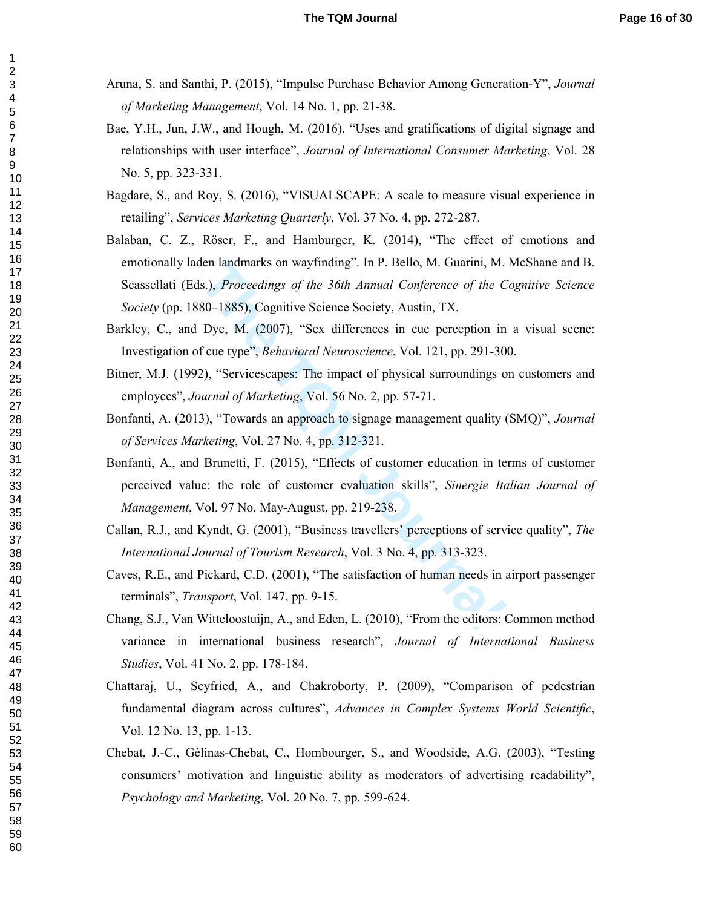- Aruna, S. and Santhi, P. (2015), "Impulse Purchase Behavior Among Generation-Y", *Journal of Marketing Management*, Vol. 14 No. 1, pp. 21-38.
- Bae, Y.H., Jun, J.W., and Hough, M. (2016), "Uses and gratifications of digital signage and relationships with user interface", *Journal of International Consumer Marketing*, Vol. 28 No. 5, pp. 323-331.
- Bagdare, S., and Roy, S. (2016), "VISUALSCAPE: A scale to measure visual experience in retailing", *Services Marketing Quarterly*, Vol. 37 No. 4, pp. 272-287.
- Balaban, C. Z., Röser, F., and Hamburger, K. (2014), "The effect of emotions and emotionally laden landmarks on wayfinding". In P. Bello, M. Guarini, M. McShane and B. Scassellati (Eds.), *Proceedings of the 36th Annual Conference of the Cognitive Science Society* (pp. 1880–1885), Cognitive Science Society, Austin, TX.
- Barkley, C., and Dye, M. (2007), "Sex differences in cue perception in a visual scene: Investigation of cue type", *Behavioral Neuroscience*, Vol. 121, pp. 291-300.
- Bitner, M.J. (1992), "Servicescapes: The impact of physical surroundings on customers and employees", *Journal of Marketing*, Vol. 56 No. 2, pp. 57-71.
- Bonfanti, A. (2013), "Towards an approach to signage management quality (SMQ)", *Journal of Services Marketing*, Vol. 27 No. 4, pp. 312-321.
- den landmarks on waytinding". In P. Bello, M. Guarini, M.<br>Is.), *Proceedings of the 36th Annual Conference of the C*<br>80–1885), Cognitive Science Society, Austin, TX.<br>Dye, M. (2007), "Sex differences in cue perception in<br>f Bonfanti, A., and Brunetti, F. (2015), "Effects of customer education in terms of customer perceived value: the role of customer evaluation skills", *Sinergie Italian Journal of Management*, Vol. 97 No. May-August, pp. 219-238.
- Callan, R.J., and Kyndt, G. (2001), "Business travellers' perceptions of service quality", *The International Journal of Tourism Research*, Vol. 3 No. 4, pp. 313-323.
- Caves, R.E., and Pickard, C.D. (2001), "The satisfaction of human needs in airport passenger terminals", *Transport*, Vol. 147, pp. 9-15.
- Chang, S.J., Van Witteloostuijn, A., and Eden, L. (2010), "From the editors: Common method variance in international business research", *Journal of International Business Studies*, Vol. 41 No. 2, pp. 178-184.
- Chattaraj, U., Seyfried, A., and Chakroborty, P. (2009), "Comparison of pedestrian fundamental diagram across cultures", *Advances in Complex Systems World Scientific*, Vol. 12 No. 13, pp. 1-13.
- Chebat, J.-C., Gélinas-Chebat, C., Hombourger, S., and Woodside, A.G. (2003), "Testing consumers' motivation and linguistic ability as moderators of advertising readability", *Psychology and Marketing*, Vol. 20 No. 7, pp. 599-624.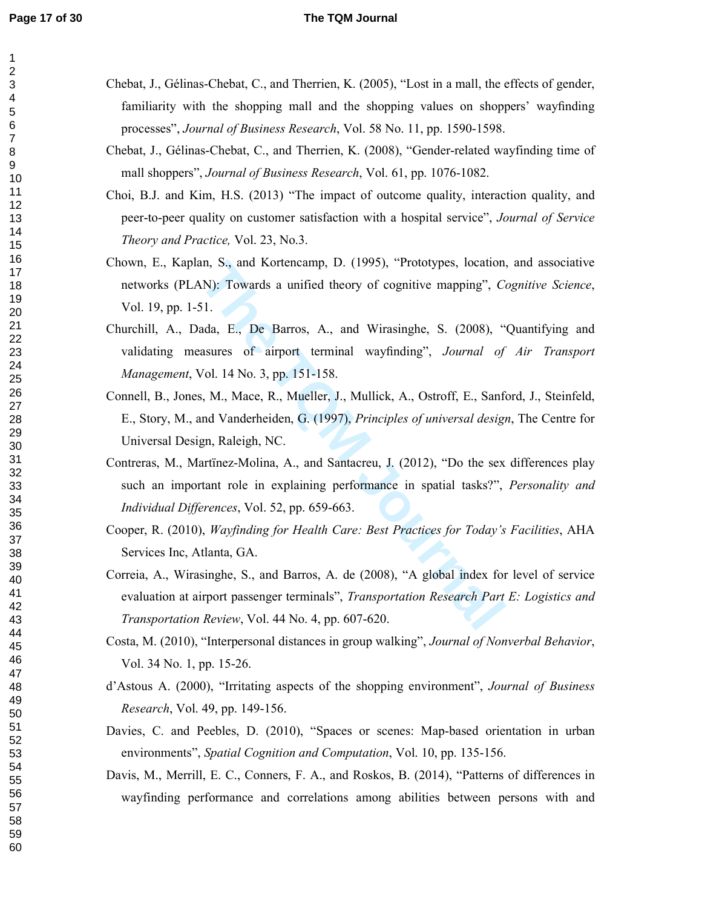#### **Page 17 of 30 The TQM Journal**

- Chebat, J., Gélinas-Chebat, C., and Therrien, K. (2005), "Lost in a mall, the effects of gender, familiarity with the shopping mall and the shopping values on shoppers' wayfinding processes", *Journal of Business Research*, Vol. 58 No. 11, pp. 1590-1598.
- Chebat, J., Gélinas-Chebat, C., and Therrien, K. (2008), "Gender-related wayfinding time of mall shoppers", *Journal of Business Research*, Vol. 61, pp. 1076-1082.
- Choi, B.J. and Kim, H.S. (2013) "The impact of outcome quality, interaction quality, and peer-to-peer quality on customer satisfaction with a hospital service", *Journal of Service Theory and Practice,* Vol. 23, No.3.
- Chown, E., Kaplan, S., and Kortencamp, D. (1995), "Prototypes, location, and associative networks (PLAN): Towards a unified theory of cognitive mapping", *Cognitive Science*, Vol. 19, pp. 1-51.
- an, S., and Kortencamp, D. (1995), "Prototypes, location<br>
NN): Towards a unified theory of cognitive mapping", *C*,<br>
51.<br>
ada, E., De Barros, A., and Wirasinghe, S. (2008), "<br>
assures of airport terminal wayfinding", *Jour* Churchill, A., Dada, E., De Barros, A., and Wirasinghe, S. (2008), "Quantifying and validating measures of airport terminal wayfinding", *Journal of Air Transport Management*, Vol. 14 No. 3, pp. 151-158.
- Connell, B., Jones, M., Mace, R., Mueller, J., Mullick, A., Ostroff, E., Sanford, J., Steinfeld, E., Story, M., and Vanderheiden, G. (1997), *Principles of universal design*, The Centre for Universal Design, Raleigh, NC.
- Contreras, M., Martïnez-Molina, A., and Santacreu, J. (2012), "Do the sex differences play such an important role in explaining performance in spatial tasks?", *Personality and Individual Differences*, Vol. 52, pp. 659-663.
- Cooper, R. (2010), *Wayfinding for Health Care: Best Practices for Today's Facilities*, AHA Services Inc, Atlanta, GA.
- Correia, A., Wirasinghe, S., and Barros, A. de (2008), "A global index for level of service evaluation at airport passenger terminals", *Transportation Research Part E: Logistics and Transportation Review*, Vol. 44 No. 4, pp. 607-620.
- Costa, M. (2010), "Interpersonal distances in group walking", *Journal of Nonverbal Behavior*, Vol. 34 No. 1, pp. 15-26.
- d'Astous A. (2000), "Irritating aspects of the shopping environment", *Journal of Business Research*, Vol. 49, pp. 149-156.
- Davies, C. and Peebles, D. (2010), "Spaces or scenes: Map-based orientation in urban environments", *Spatial Cognition and Computation*, Vol. 10, pp. 135-156.
- Davis, M., Merrill, E. C., Conners, F. A., and Roskos, B. (2014), "Patterns of differences in wayfinding performance and correlations among abilities between persons with and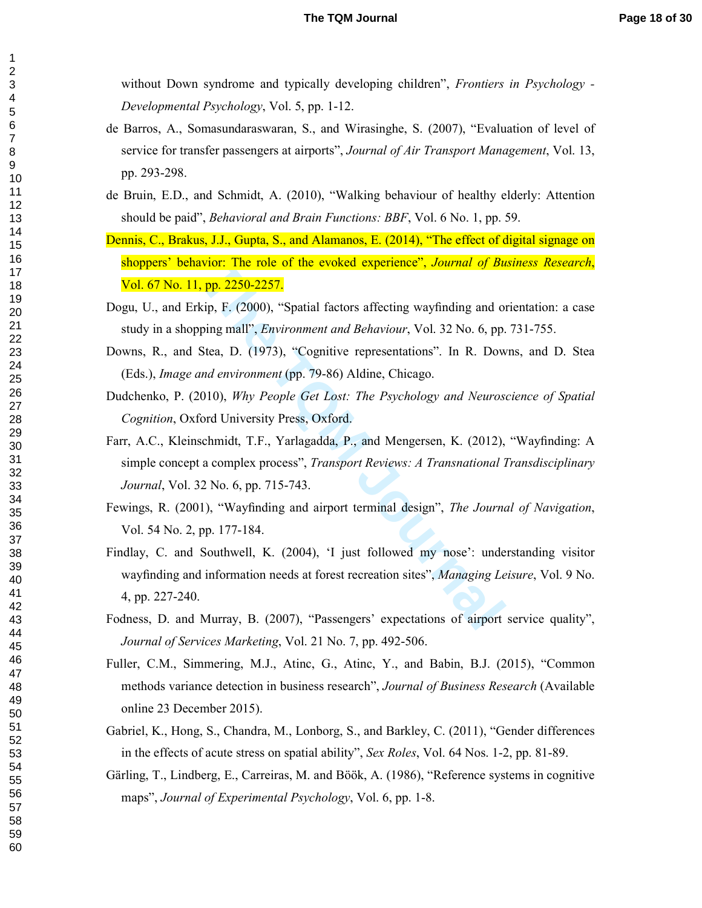without Down syndrome and typically developing children", *Frontiers in Psychology - Developmental Psychology*, Vol. 5, pp. 1-12.

- de Barros, A., Somasundaraswaran, S., and Wirasinghe, S. (2007), "Evaluation of level of service for transfer passengers at airports", *Journal of Air Transport Management*, Vol. 13, pp. 293-298.
- de Bruin, E.D., and Schmidt, A. (2010), "Walking behaviour of healthy elderly: Attention should be paid", *Behavioral and Brain Functions: BBF*, Vol. 6 No. 1, pp. 59.
- Dennis, C., Brakus, J.J., Gupta, S., and Alamanos, E. (2014), "The effect of digital signage on shoppers' behavior: The role of the evoked experience", *Journal of Business Research*, Vol. 67 No. 11, pp. 2250-2257.
- Dogu, U., and Erkip, F. (2000), "Spatial factors affecting wayfinding and orientation: a case study in a shopping mall", *Environment and Behaviour*, Vol. 32 No. 6, pp. 731-755.
- Downs, R., and Stea, D. (1973), "Cognitive representations". In R. Downs, and D. Stea (Eds.), *Image and environment* (pp. 79-86) Aldine, Chicago.
- Dudchenko, P. (2010), *Why People Get Lost: The Psychology and Neuroscience of Spatial Cognition*, Oxford University Press, Oxford.
- Farr, A.C., Kleinschmidt, T.F., Yarlagadda, P., and Mengersen, K. (2012), "Wayfinding: A simple concept a complex process", *Transport Reviews: A Transnational Transdisciplinary Journal*, Vol. 32 No. 6, pp. 715-743.
- Fewings, R. (2001), "Wayfinding and airport terminal design", *The Journal of Navigation*, Vol. 54 No. 2, pp. 177-184.
- **The role of the evoked experience"**, *Journal of Bu*, **pp. 2250-2257.**<br> **Kend Fourth**, **F.** (2000), "Spatial factors affecting wayfinding and or<br>
ping mall", *Environment and Behaviour*, Vol. 32 No. 6, pp.<br>
Stea, D. (1973 Findlay, C. and Southwell, K. (2004), 'I just followed my nose': understanding visitor wayfinding and information needs at forest recreation sites", *Managing Leisure*, Vol. 9 No. 4, pp. 227-240.
- Fodness, D. and Murray, B. (2007), "Passengers' expectations of airport service quality", *Journal of Services Marketing*, Vol. 21 No. 7, pp. 492-506.
- Fuller, C.M., Simmering, M.J., Atinc, G., Atinc, Y., and Babin, B.J. (2015), "Common methods variance detection in business research", *Journal of Business Research* (Available online 23 December 2015).
- Gabriel, K., Hong, S., Chandra, M., Lonborg, S., and Barkley, C. (2011), "Gender differences in the effects of acute stress on spatial ability", *Sex Roles*, Vol. 64 Nos. 1-2, pp. 81-89.
- Gärling, T., Lindberg, E., Carreiras, M. and Böök, A. (1986), "Reference systems in cognitive maps", *Journal of Experimental Psychology*, Vol. 6, pp. 1-8.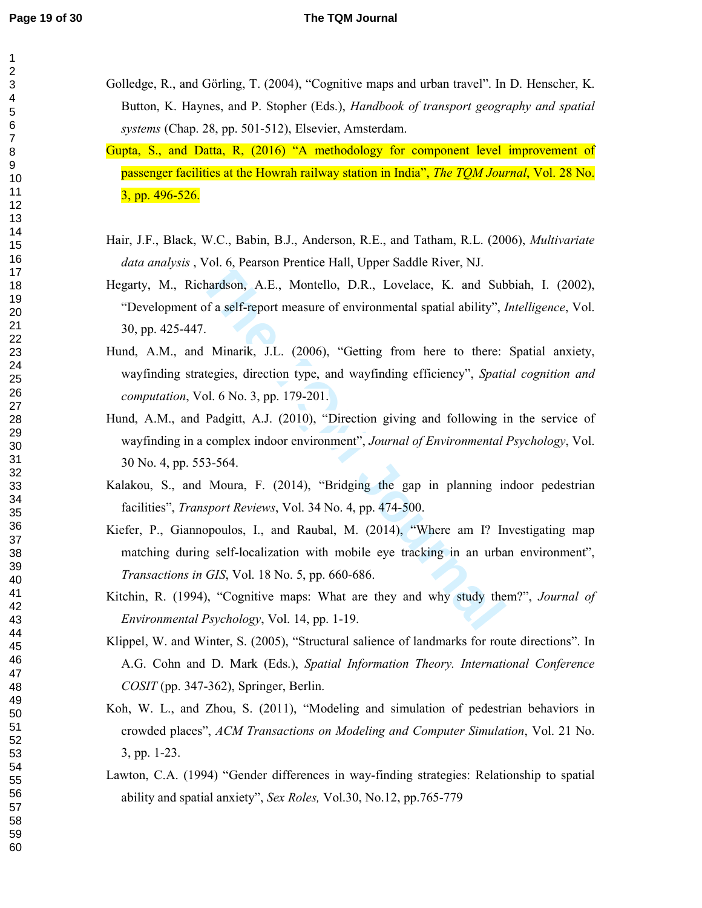#### **Page 19 of 30 The TQM Journal**

- Golledge, R., and Görling, T. (2004), "Cognitive maps and urban travel". In D. Henscher, K. Button, K. Haynes, and P. Stopher (Eds.), *Handbook of transport geography and spatial systems* (Chap. 28, pp. 501-512), Elsevier, Amsterdam.
- Gupta, S., and Datta, R, (2016) "A methodology for component level improvement of passenger facilities at the Howrah railway station in India", *The TQM Journal*, Vol. 28 No. 3, pp. 496-526.
- Hair, J.F., Black, W.C., Babin, B.J., Anderson, R.E., and Tatham, R.L. (2006), *Multivariate data analysis* , Vol. 6, Pearson Prentice Hall, Upper Saddle River, NJ.
- Hegarty, M., Richardson, A.E., Montello, D.R., Lovelace, K. and Subbiah, I. (2002), "Development of a self-report measure of environmental spatial ability", *Intelligence*, Vol. 30, pp. 425-447.
- Vol. 6, Pearson Prentice Hall, Upper Saddle River, NJ.<br>chardson, A.E., Montello, D.R., Lovelace, K. and Sub<br>of a self-report measure of environmental spatial ability", *1*<br>7.<br>d Minarik, J.L. (2006), "Getting from here to t Hund, A.M., and Minarik, J.L. (2006), "Getting from here to there: Spatial anxiety, wayfinding strategies, direction type, and wayfinding efficiency", *Spatial cognition and computation*, Vol. 6 No. 3, pp. 179-201.
- Hund, A.M., and Padgitt, A.J. (2010), "Direction giving and following in the service of wayfinding in a complex indoor environment", *Journal of Environmental Psychology*, Vol. 30 No. 4, pp. 553-564.
- Kalakou, S., and Moura, F. (2014), "Bridging the gap in planning indoor pedestrian facilities", *Transport Reviews*, Vol. 34 No. 4, pp. 474-500.
- Kiefer, P., Giannopoulos, I., and Raubal, M. (2014), "Where am I? Investigating map matching during self-localization with mobile eye tracking in an urban environment", *Transactions in GIS*, Vol. 18 No. 5, pp. 660-686.
- Kitchin, R. (1994), "Cognitive maps: What are they and why study them?", *Journal of Environmental Psychology*, Vol. 14, pp. 1-19.
- Klippel, W. and Winter, S. (2005), "Structural salience of landmarks for route directions". In A.G. Cohn and D. Mark (Eds.), *Spatial Information Theory. International Conference COSIT* (pp. 347-362), Springer, Berlin.
- Koh, W. L., and Zhou, S. (2011), "Modeling and simulation of pedestrian behaviors in crowded places", *ACM Transactions on Modeling and Computer Simulatio n*, Vol. 21 No. 3, pp. 1-23.
- Lawton, C.A. (1994) "Gender differences in way-finding strategies: Relationship to spatial ability and spatial anxiety", *Sex Roles,* Vol.30, No.12, pp.765-779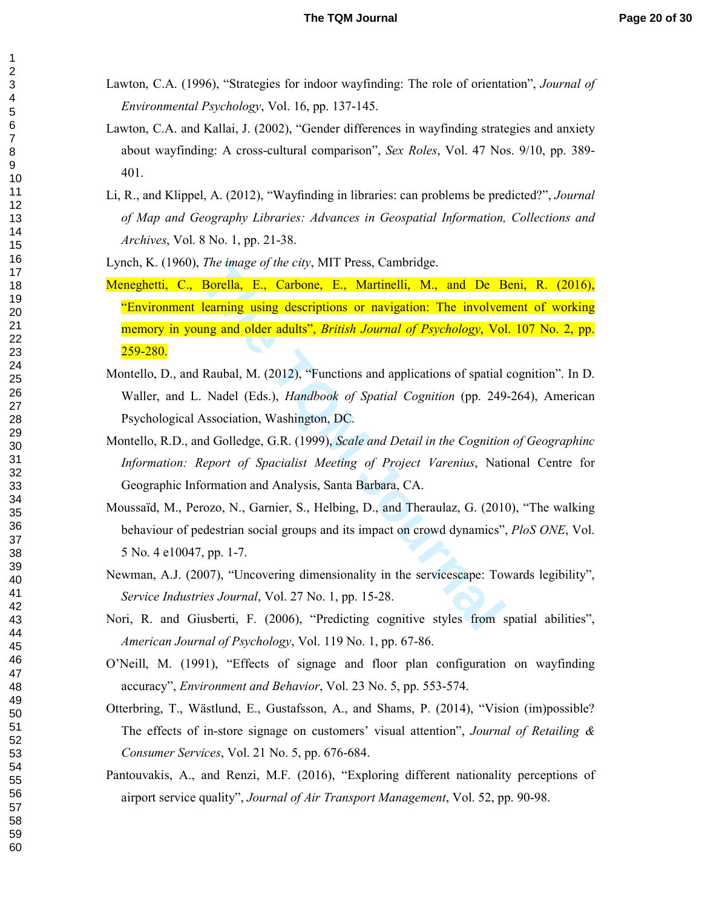- Lawton, C.A. (1996), "Strategies for indoor wayfinding: The role of orientation", *Journal of Environmental Psychology*, Vol. 16, pp. 137-145.
- Lawton, C.A. and Kallai, J. (2002), "Gender differences in wayfinding strategies and anxiety about wayfinding: A cross-cultural comparison", *Sex Roles*, Vol. 47 Nos. 9/10, pp. 389- 401.
- Li, R., and Klippel, A. (2012), "Wayfinding in libraries: can problems be predicted?", *Journal of Map and Geography Libraries: Advances in Geospatial Information, Collections and Archives*, Vol. 8 No. 1, pp. 21-38.
- Lynch, K. (1960), *The image of the city*, MIT Press, Cambridge.
- The image of the city, MIT Press, Cambridge.<br> **Borella, E., Carbone, E., Martinelli, M., and De B**<br> **Iearning using descriptions or navigation: The involver**<br> **Image and older adults**", *British Journal of Psychology*, Vol Meneghetti, C., Borella, E., Carbone, E., Martinelli, M., and De Beni, R. (2016), "Environment learning using descriptions or navigation: The involvement of working memory in young and older adults", *British Journal of Psychology*, Vol. 107 No. 2, pp. 259-280.
- Montello, D., and Raubal, M. (2012), "Functions and applications of spatial cognition". In D. Waller, and L. Nadel (Eds.), *Handbook of Spatial Cognition* (pp. 249-264), American Psychological Association, Washington, DC.
- Montello, R.D., and Golledge, G.R. (1999), *Scale and Detail in the Cognition of Geographinc Information: Report of Spacialist Meeting of Project Varenius*, National Centre for Geographic Information and Analysis, Santa Barbara, CA.
- Moussaïd, M., Perozo, N., Garnier, S., Helbing, D., and Theraulaz, G. (2010), "The walking behaviour of pedestrian social groups and its impact on crowd dynamics", *PloS ONE*, Vol. 5 No. 4 e10047, pp. 1-7.
- Newman, A.J. (2007), "Uncovering dimensionality in the servicescape: Towards legibility", *Service Industries Journal*, Vol. 27 No. 1, pp. 15-28.
- Nori, R. and Giusberti, F. (2006), "Predicting cognitive styles from spatial abilities", *American Journal of Psychology*, Vol. 119 No. 1, pp. 67-86.
- O'Neill, M. (1991), "Effects of signage and floor plan configuration on wayfinding accuracy", *Environment and Behavior*, Vol. 23 No. 5, pp. 553-574.
- Otterbring, T., Wästlund, E., Gustafsson, A., and Shams, P. (2014), "Vision (im)possible? The effects of in-store signage on customers' visual attention", *Journal of Retailing & Consumer Services*, Vol. 21 No. 5, pp. 676-684.
- Pantouvakis, A., and Renzi, M.F. (2016), "Exploring different nationality perceptions of airport service quality", *Journal of Air Transport Management*, Vol. 52, pp. 90-98.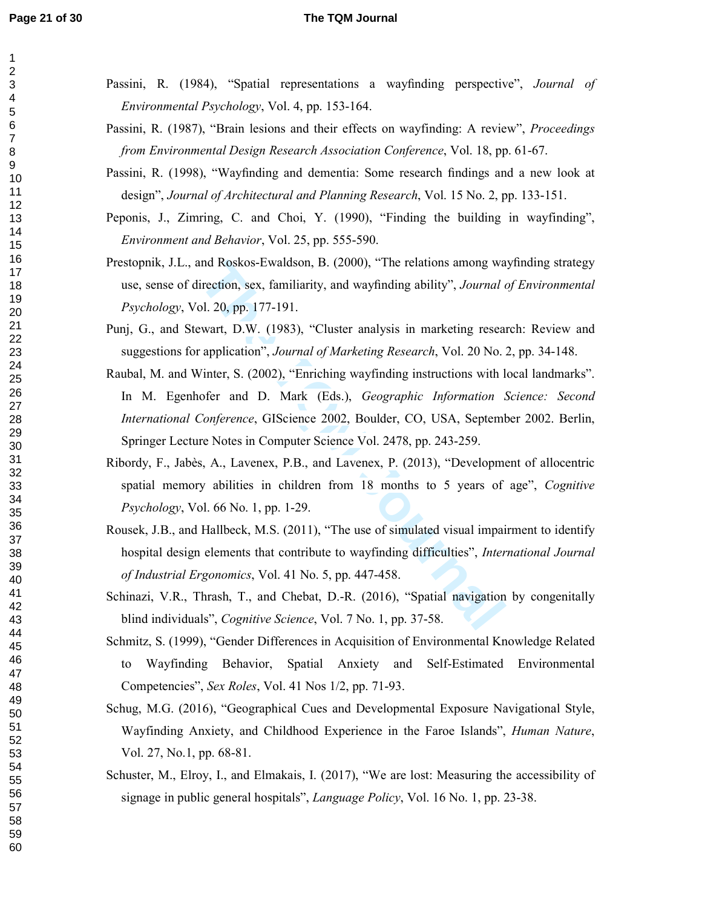#### **Page 21 of 30 The TQM Journal**

- Passini, R. (1984), "Spatial representations a wayfinding perspective", *Journal of Environmental Psychology*, Vol. 4, pp. 153-164.
- Passini, R. (1987), "Brain lesions and their effects on wayfinding: A review", *Proceedings from Environmental Design Research Association Conference*, Vol. 18, pp. 61-67.
- Passini, R. (1998), "Wayfinding and dementia: Some research findings and a new look at design", *Journal of Architectural and Planning Research*, Vol. 15 No. 2, pp. 133-151.
- Peponis, J., Zimring, C. and Choi, Y. (1990), "Finding the building in wayfinding", *Environment and Behavior*, Vol. 25, pp. 555-590.
- Prestopnik, J.L., and Roskos-Ewaldson, B. (2000), "The relations among wayfinding strategy use, sense of direction, sex, familiarity, and wayfinding ability", *Journal of Environmental Psychology*, Vol. 20, pp. 177-191.
- Punj, G., and Stewart, D.W. (1983), "Cluster analysis in marketing research: Review and suggestions for application", *Journal of Marketing Research*, Vol. 20 No. 2, pp. 34-148.
- and Roskos-Ewaldson, B. (2000), "The relations among wateretion, sex, familiarity, and wayfinding ability", *Journal* of the U.20, pp. 177-191.<br>
Election, sex, familiarity, and wayfinding ability", *Journal* of the U.20, p Raubal, M. and Winter, S. (2002), "Enriching wayfinding instructions with local landmarks". In M. Egenhofer and D. Mark (Eds.), *Geographic Information Science: Second International Conference*, GIScience 2002, Boulder, CO, USA, September 2002. Berlin, Springer Lecture Notes in Computer Science Vol. 2478, pp. 243-259.
- Ribordy, F., Jabès, A., Lavenex, P.B., and Lavenex, P. (2013), "Development of allocentric spatial memory abilities in children from 18 months to 5 years of age", *Cognitive Psychology*, Vol. 66 No. 1, pp. 1-29.
- Rousek, J.B., and Hallbeck, M.S. (2011), "The use of simulated visual impairment to identify hospital design elements that contribute to wayfinding difficulties", *International Journal of Industrial Ergonomics*, Vol. 41 No. 5, pp. 447-458.
- Schinazi, V.R., Thrash, T., and Chebat, D.-R. (2016), "Spatial navigation by congenitally blind individuals", *Cognitive Science*, Vol. 7 No. 1, pp. 37-58.
- Schmitz, S. (1999), "Gender Differences in Acquisition of Environmental Knowledge Related to Wayfinding Behavior, Spatial Anxiety and Self-Estimated Environmental Competencies", *Sex Roles*, Vol. 41 Nos 1/2, pp. 71-93.
- Schug, M.G. (2016), "Geographical Cues and Developmental Exposure Navigational Style, Wayfinding Anxiety, and Childhood Experience in the Faroe Islands", *Human Nature*, Vol. 27, No.1, pp. 68-81.
- Schuster, M., Elroy, I., and Elmakais, I. (2017), "We are lost: Measuring the accessibility of signage in public general hospitals", *Language Policy*, Vol. 16 No. 1, pp. 23-38.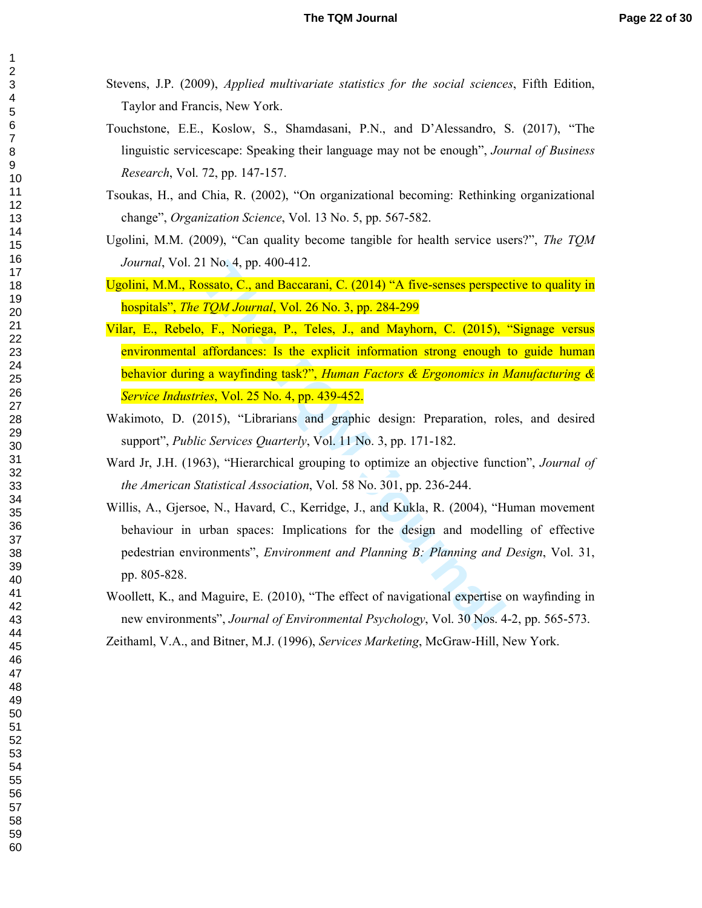- Stevens, J.P. (2009), *Applied multivariate statistics for the social sciences*, Fifth Edition, Taylor and Francis, New York.
- Touchstone, E.E., Koslow, S., Shamdasani, P.N., and D'Alessandro, S. (2017), "The linguistic servicescape: Speaking their language may not be enough", *Journal of Business Research*, Vol. 72, pp. 147-157.
- Tsoukas, H., and Chia, R. (2002), "On organizational becoming: Rethinking organizational change", *Organization Science*, Vol. 13 No. 5, pp. 567-582.
- Ugolini, M.M. (2009), "Can quality become tangible for health service users?", *The TQM Journal*, Vol. 21 No. 4, pp. 400-412.
- Ugolini, M.M., Rossato, C., and Baccarani, C. (2014) "A five-senses perspective to quality in hospitals", *The TQM Journal*, Vol. 26 No. 3, pp. 284-299
- Vilar, E., Rebelo, F., Noriega, P., Teles, J., and Mayhorn, C. (2015), "Signage versus environmental affordances: Is the explicit information strong enough to guide human behavior during a wayfinding task?", *Human Factors & Ergonomics in Manufacturing & Service Industries*, Vol. 25 No. 4, pp. 439-452.
- Wakimoto, D. (2015), "Librarians and graphic design: Preparation, roles, and desired support", *Public Services Quarterly*, Vol. 11 No. 3, pp. 171-182.
- Ward Jr, J.H. (1963), "Hierarchical grouping to optimize an objective function", *Journal of the American Statistical Association*, Vol. 58 No. 301, pp. 236-244.
- 21 No. 4, pp. 400-412.<br> **TOM Journal, Vol. 26 No. 3, pp. 284-299**<br> **TOM Journal, Vol. 26 No. 3, pp. 284-299**<br> **TOM Journal, Vol. 26 No. 3, pp. 284-299**<br> **Tom Journal, Vol. 26 No. 3, pp. 284-299**<br> **Tom Tom Tom Tom Tom Tom** Willis, A., Gjersoe, N., Havard, C., Kerridge, J., and Kukla, R. (2004), "Human movement behaviour in urban spaces: Implications for the design and modelling of effective pedestrian environments", *Environment and Planning B: Planning and Design*, Vol. 31, pp. 805-828.
- Woollett, K., and Maguire, E. (2010), "The effect of navigational expertise on wayfinding in new environments", *Journal of Environmental Psychology*, Vol. 30 Nos. 4-2, pp. 565-573. Zeithaml, V.A., and Bitner, M.J. (1996), *Services Marketing*, McGraw-Hill, New York.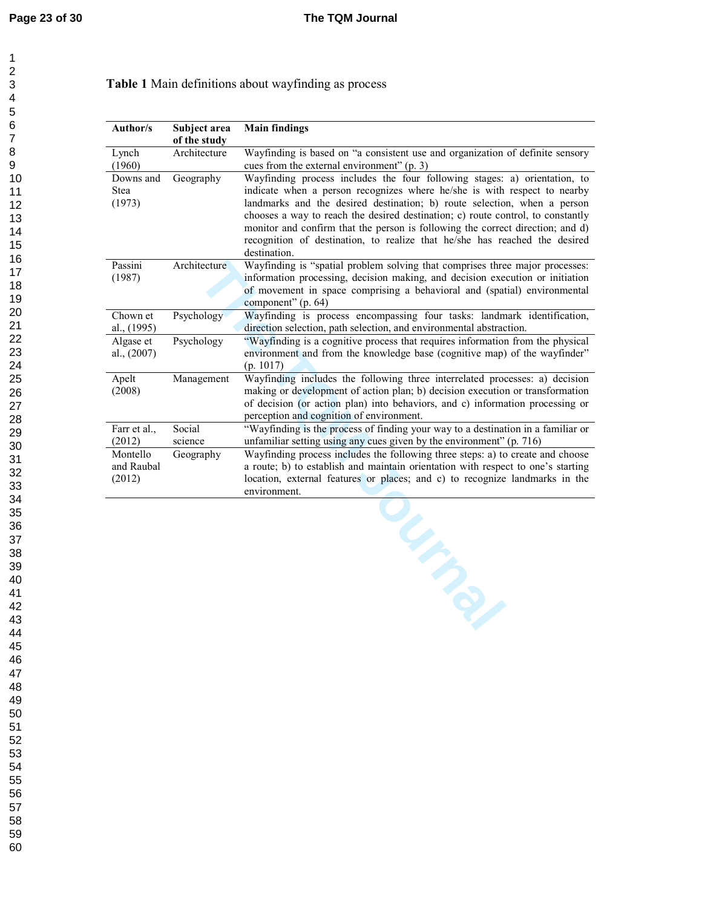**Table 1** Main definitions about wayfinding as process

| Author/s      | Subject area                 | <b>Main findings</b>                                                             |  |
|---------------|------------------------------|----------------------------------------------------------------------------------|--|
|               | of the study<br>Architecture |                                                                                  |  |
| Lynch         |                              | Wayfinding is based on "a consistent use and organization of definite sensory    |  |
| (1960)        |                              | cues from the external environment" (p. 3)                                       |  |
| Downs and     | Geography                    | Wayfinding process includes the four following stages: a) orientation, to        |  |
| Stea          |                              | indicate when a person recognizes where he/she is with respect to nearby         |  |
| (1973)        |                              | landmarks and the desired destination; b) route selection, when a person         |  |
|               |                              | chooses a way to reach the desired destination; c) route control, to constantly  |  |
|               |                              | monitor and confirm that the person is following the correct direction; and d)   |  |
|               |                              | recognition of destination, to realize that he/she has reached the desired       |  |
|               |                              | destination.                                                                     |  |
| Passini       | Architecture                 | Wayfinding is "spatial problem solving that comprises three major processes:     |  |
| (1987)        |                              | information processing, decision making, and decision execution or initiation    |  |
|               |                              | of movement in space comprising a behavioral and (spatial) environmental         |  |
|               |                              | component" (p. 64)                                                               |  |
| Chown et      | Psychology                   | Wayfinding is process encompassing four tasks: landmark identification,          |  |
| al., (1995)   |                              | direction selection, path selection, and environmental abstraction.              |  |
| Algase et     | Psychology                   | "Wayfinding is a cognitive process that requires information from the physical   |  |
| al., $(2007)$ |                              | environment and from the knowledge base (cognitive map) of the wayfinder"        |  |
|               |                              | (p. 1017)                                                                        |  |
| Apelt         | Management                   | Wayfinding includes the following three interrelated processes: a) decision      |  |
| (2008)        |                              | making or development of action plan; b) decision execution or transformation    |  |
|               |                              | of decision (or action plan) into behaviors, and c) information processing or    |  |
|               |                              | perception and cognition of environment.                                         |  |
| Farr et al.,  | Social                       | "Wayfinding is the process of finding your way to a destination in a familiar or |  |
| (2012)        | science                      | unfamiliar setting using any cues given by the environment" (p. 716)             |  |
| Montello      | Geography                    | Wayfinding process includes the following three steps: a) to create and choose   |  |
| and Raubal    |                              | a route; b) to establish and maintain orientation with respect to one's starting |  |
| (2012)        |                              | location, external features or places; and c) to recognize landmarks in the      |  |
|               |                              | environment.                                                                     |  |
|               |                              |                                                                                  |  |
|               |                              |                                                                                  |  |
|               |                              |                                                                                  |  |
|               |                              |                                                                                  |  |
|               |                              |                                                                                  |  |
|               |                              | JUNIOR                                                                           |  |
|               |                              |                                                                                  |  |
|               |                              |                                                                                  |  |
|               |                              |                                                                                  |  |
|               |                              |                                                                                  |  |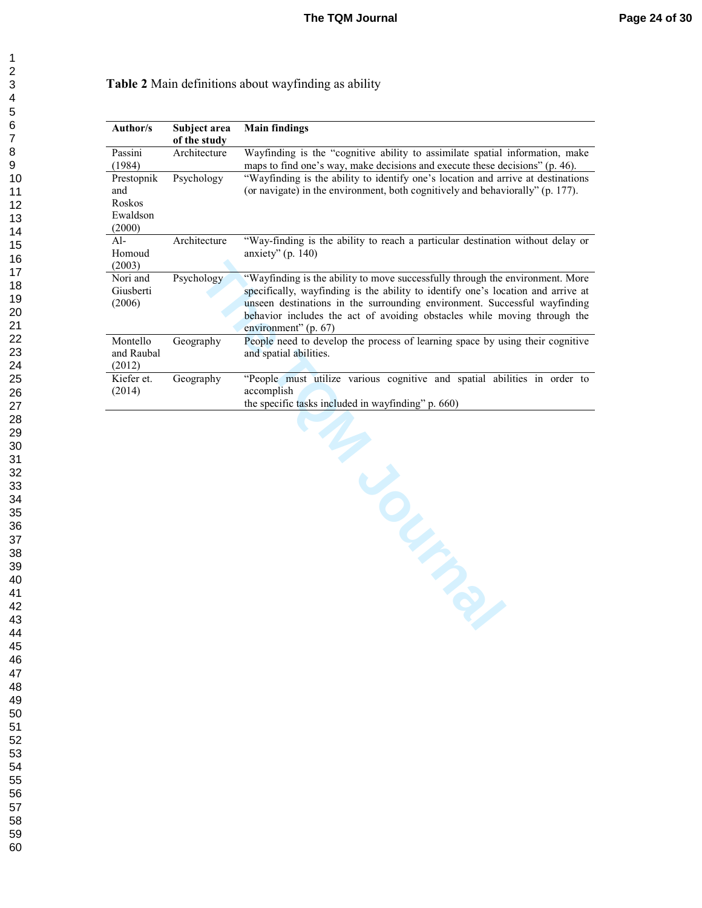#### **Table 2** Main definitions about wayfinding as ability

| Author/s                                          | Subject area<br>of the study | <b>Main findings</b>                                                                                                                                                                                                                                                                                                                               |
|---------------------------------------------------|------------------------------|----------------------------------------------------------------------------------------------------------------------------------------------------------------------------------------------------------------------------------------------------------------------------------------------------------------------------------------------------|
| Passini<br>(1984)                                 | Architecture                 | Wayfinding is the "cognitive ability to assimilate spatial information, make<br>maps to find one's way, make decisions and execute these decisions" (p. 46).                                                                                                                                                                                       |
| Prestopnik<br>and<br>Roskos<br>Ewaldson<br>(2000) | Psychology                   | "Wayfinding is the ability to identify one's location and arrive at destinations<br>(or navigate) in the environment, both cognitively and behaviorally" (p. 177).                                                                                                                                                                                 |
| Al-<br>Homoud<br>(2003)                           | Architecture                 | "Way-finding is the ability to reach a particular destination without delay or<br>anxiety" $(p. 140)$                                                                                                                                                                                                                                              |
| Nori and<br>Giusberti<br>(2006)                   | Psychology                   | "Wayfinding is the ability to move successfully through the environment. More<br>specifically, wayfinding is the ability to identify one's location and arrive at<br>unseen destinations in the surrounding environment. Successful wayfinding<br>behavior includes the act of avoiding obstacles while moving through the<br>environment" (p. 67) |
| Montello<br>and Raubal<br>(2012)                  | Geography                    | People need to develop the process of learning space by using their cognitive<br>and spatial abilities.                                                                                                                                                                                                                                            |
| Kiefer et.<br>(2014)                              | Geography                    | "People must utilize various cognitive and spatial abilities in order to<br>accomplish<br>the specific tasks included in wayfinding" p. 660)                                                                                                                                                                                                       |
|                                                   |                              |                                                                                                                                                                                                                                                                                                                                                    |
|                                                   |                              | LOUTIN                                                                                                                                                                                                                                                                                                                                             |
|                                                   |                              |                                                                                                                                                                                                                                                                                                                                                    |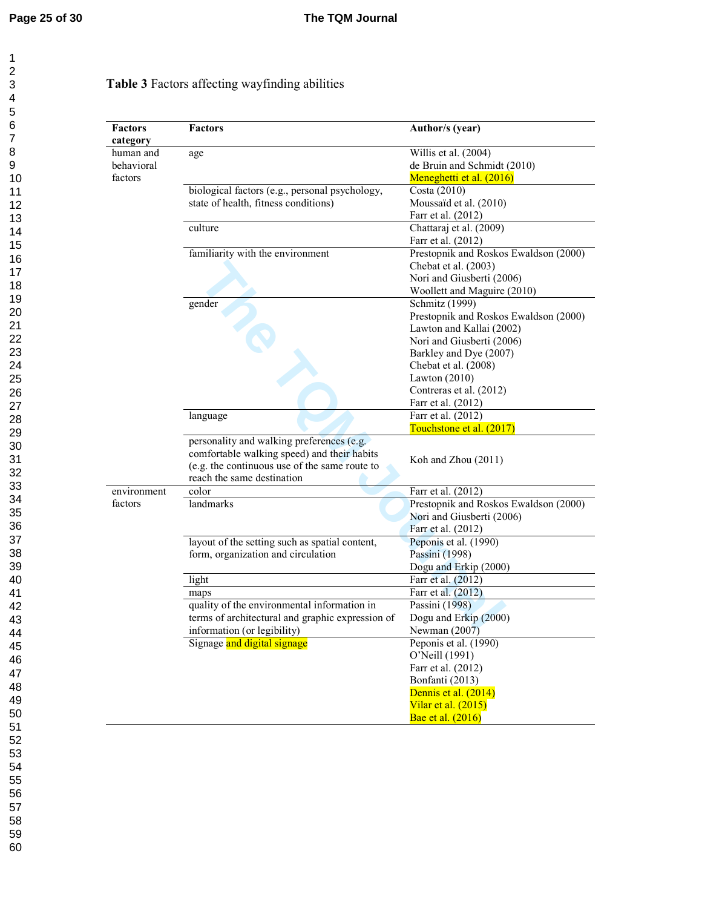$\mathbf{1}$ 

## **Table 3** Factors affecting wayfinding abilities

| <b>Factors</b><br>category         | <b>Factors</b>                                                                                                                                                          | Author/s (year)                                                                                                                                                                                                                        |
|------------------------------------|-------------------------------------------------------------------------------------------------------------------------------------------------------------------------|----------------------------------------------------------------------------------------------------------------------------------------------------------------------------------------------------------------------------------------|
| human and<br>behavioral<br>factors | age                                                                                                                                                                     | Willis et al. (2004)<br>de Bruin and Schmidt (2010)<br>Meneghetti et al. (2016)                                                                                                                                                        |
|                                    | biological factors (e.g., personal psychology,<br>state of health, fitness conditions)                                                                                  | Costa (2010)<br>Moussaïd et al. (2010)<br>Farr et al. (2012)                                                                                                                                                                           |
|                                    | culture                                                                                                                                                                 | Chattaraj et al. (2009)<br>Farr et al. (2012)                                                                                                                                                                                          |
|                                    | familiarity with the environment                                                                                                                                        | Prestopnik and Roskos Ewaldson (2000)<br>Chebat et al. (2003)<br>Nori and Giusberti (2006)<br>Woollett and Maguire (2010)                                                                                                              |
|                                    | gender                                                                                                                                                                  | Schmitz (1999)<br>Prestopnik and Roskos Ewaldson (2000)<br>Lawton and Kallai (2002)<br>Nori and Giusberti (2006)<br>Barkley and Dye (2007)<br>Chebat et al. (2008)<br>Lawton $(2010)$<br>Contreras et al. (2012)<br>Farr et al. (2012) |
|                                    | language                                                                                                                                                                | Farr et al. (2012)<br>Touchstone et al. (2017)                                                                                                                                                                                         |
|                                    | personality and walking preferences (e.g.<br>comfortable walking speed) and their habits<br>(e.g. the continuous use of the same route to<br>reach the same destination | Koh and Zhou (2011)                                                                                                                                                                                                                    |
| environment                        | color                                                                                                                                                                   | Farr et al. (2012)                                                                                                                                                                                                                     |
| factors                            | landmarks                                                                                                                                                               | Prestopnik and Roskos Ewaldson (2000)<br>Nori and Giusberti (2006)<br>Farr et al. (2012)                                                                                                                                               |
|                                    | layout of the setting such as spatial content,<br>form, organization and circulation                                                                                    | Peponis et al. (1990)<br>Passini (1998)<br>Dogu and Erkip (2000)                                                                                                                                                                       |
|                                    | light                                                                                                                                                                   | Farr et al. (2012)                                                                                                                                                                                                                     |
|                                    | maps                                                                                                                                                                    | Farr et al. (2012)                                                                                                                                                                                                                     |
|                                    | quality of the environmental information in<br>terms of architectural and graphic expression of<br>information (or legibility)                                          | Passini (1998)<br>Dogu and Erkip (2000)<br>Newman $(2007)$                                                                                                                                                                             |
|                                    | Signage and digital signage                                                                                                                                             | Peponis et al. (1990)<br>O'Neill (1991)<br>Farr et al. (2012)<br>Bonfanti (2013)<br>Dennis et al. (2014)<br>Vilar et al. $(2015)$<br>Bae et al. (2016)                                                                                 |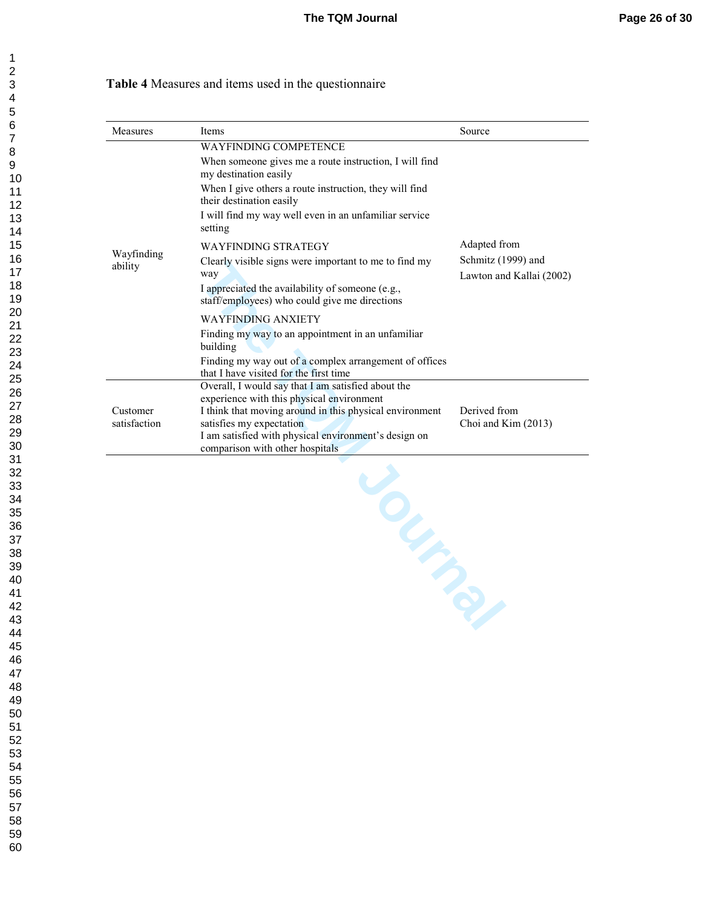## **Table 4** Measures and items used in the questionnaire

| Measures     | Items                                                                                             | Source                   |
|--------------|---------------------------------------------------------------------------------------------------|--------------------------|
|              | WAYFINDING COMPETENCE                                                                             |                          |
|              | When someone gives me a route instruction, I will find<br>my destination easily                   |                          |
|              | When I give others a route instruction, they will find<br>their destination easily                |                          |
|              | I will find my way well even in an unfamiliar service<br>setting                                  |                          |
|              | <b>WAYFINDING STRATEGY</b>                                                                        | Adapted from             |
| Wayfinding   | Clearly visible signs were important to me to find my                                             | Schmitz (1999) and       |
| ability      | way                                                                                               | Lawton and Kallai (2002) |
|              | I appreciated the availability of someone (e.g.,<br>staff/employees) who could give me directions |                          |
|              | <b>WAYFINDING ANXIETY</b>                                                                         |                          |
|              | Finding my way to an appointment in an unfamiliar<br>building                                     |                          |
|              | Finding my way out of a complex arrangement of offices<br>that I have visited for the first time  |                          |
|              | Overall, I would say that I am satisfied about the                                                |                          |
|              | experience with this physical environment                                                         |                          |
| Customer     | I think that moving around in this physical environment                                           | Derived from             |
| satisfaction | satisfies my expectation                                                                          | Choi and Kim $(2013)$    |
|              | I am satisfied with physical environment's design on                                              |                          |
|              | comparison with other hospitals                                                                   |                          |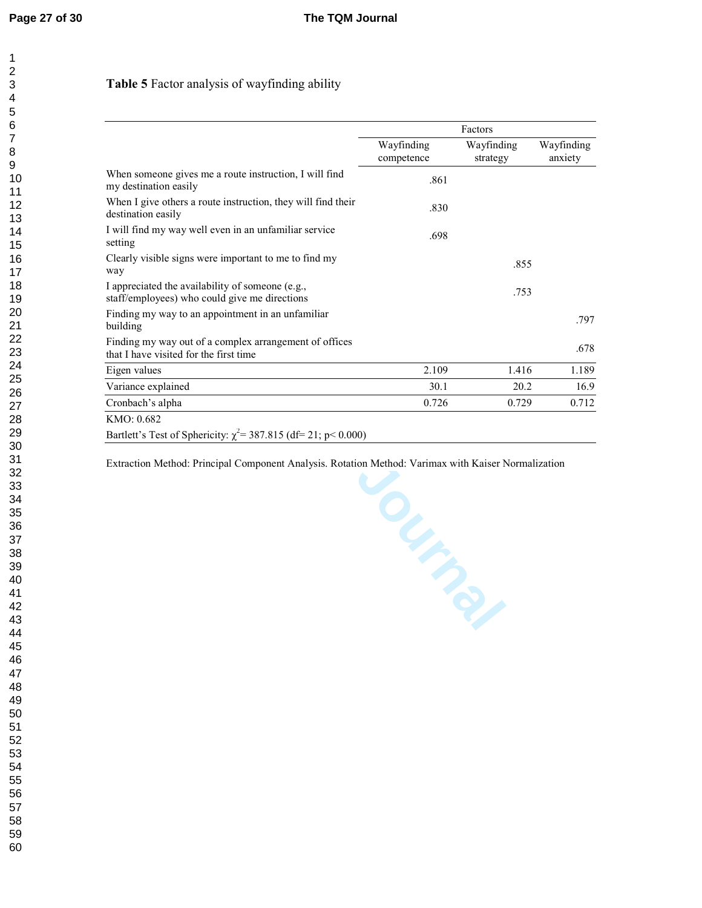$\mathbf{1}$  $\overline{2}$  $\overline{\mathbf{4}}$ 

## **Table 5** Factor analysis of wayfinding ability

|                                                                                                   | Factors                  |                        |                       |
|---------------------------------------------------------------------------------------------------|--------------------------|------------------------|-----------------------|
|                                                                                                   | Wayfinding<br>competence | Wayfinding<br>strategy | Wayfinding<br>anxiety |
| When someone gives me a route instruction, I will find<br>my destination easily                   | .861                     |                        |                       |
| When I give others a route instruction, they will find their<br>destination easily                | .830                     |                        |                       |
| I will find my way well even in an unfamiliar service<br>setting                                  | .698                     |                        |                       |
| Clearly visible signs were important to me to find my<br>way                                      |                          | .855                   |                       |
| I appreciated the availability of someone (e.g.,<br>staff/employees) who could give me directions |                          | .753                   |                       |
| Finding my way to an appointment in an unfamiliar<br>building                                     |                          |                        | .797                  |
| Finding my way out of a complex arrangement of offices<br>that I have visited for the first time  |                          |                        | .678                  |
| Eigen values                                                                                      | 2.109                    | 1.416                  | 1.189                 |
| Variance explained                                                                                | 30.1                     | 20.2                   | 16.9                  |
| Cronbach's alpha                                                                                  | 0.726                    | 0.729                  | 0.712                 |

Bartlett's Test of Sphericity:  $\chi^2$  = 387.815 (df = 21; p < 0.000)

Extraction Method: Principal Component Analysis. Rotation Method: Varimax with Kaiser Normalization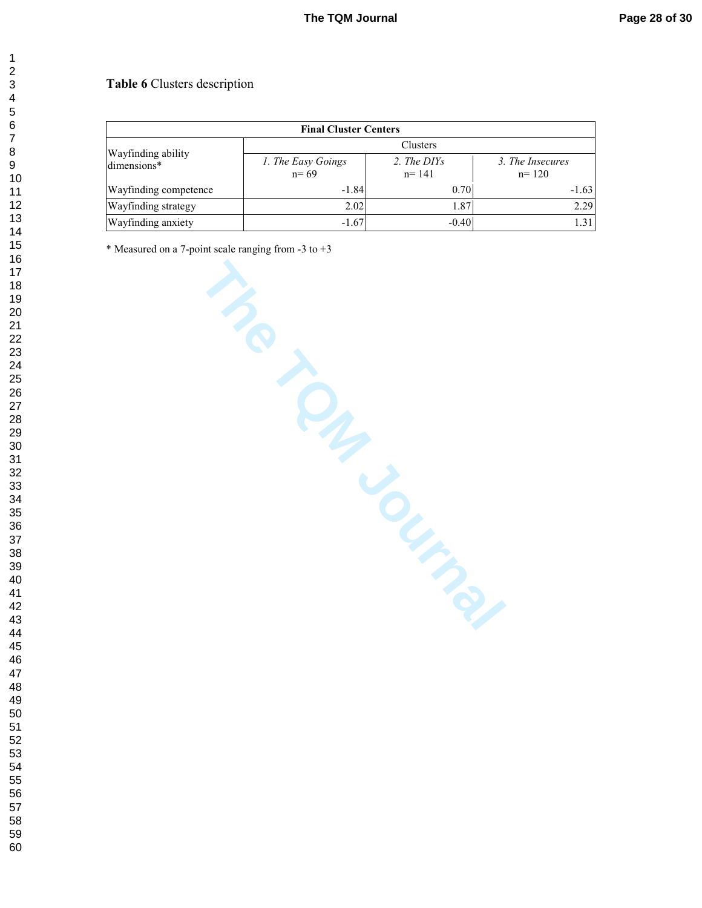## **Table 6** Clusters description

| <b>Final Cluster Centers</b>      |                                |                        |                             |
|-----------------------------------|--------------------------------|------------------------|-----------------------------|
|                                   | Clusters                       |                        |                             |
| Wayfinding ability<br>dimensions* | 1. The Easy Goings<br>$n = 69$ | 2. The DIYs<br>$n=141$ | 3. The Insecures<br>$n=120$ |
| Wayfinding competence             | $-1.84$                        | 0.70                   | $-1.63$                     |
| Wayfinding strategy               | 2.02                           | 1.87                   | 2.29                        |
| Wayfinding anxiety                | $-1.67$                        | $-0.40$                | 1.31                        |

The TOMMULATION \* Measured on a 7-point scale ranging from  $-3$  to  $+3$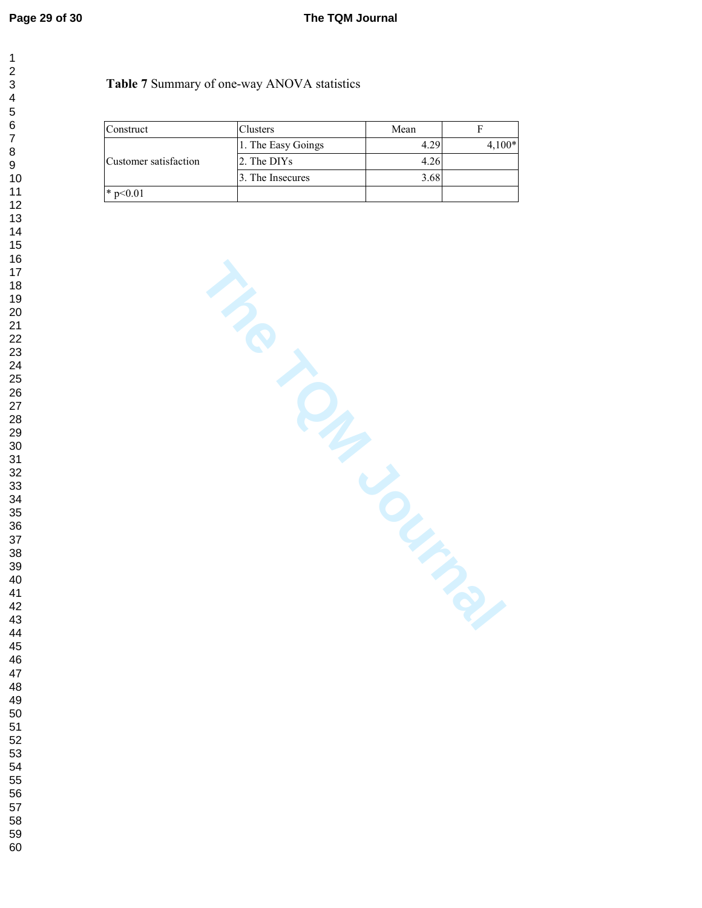$\mathbf{1}$  $\overline{2}$  $\overline{\mathbf{4}}$ 

## **Table 7** Summary of one-way ANOVA statistics

| Construct             | Clusters           | Mean |          |
|-----------------------|--------------------|------|----------|
| Customer satisfaction | 1. The Easy Goings | 4.29 | $4,100*$ |
|                       | $2.$ The DIYs      | 4.26 |          |
|                       | 3. The Insecures   | 3.68 |          |
| * $p<0.01$            |                    |      |          |

  $\overline{7}$